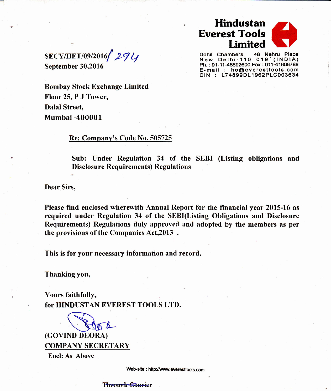

SECY/HET/09/2016 $/29$ September 30,20I6

Dohil Chambers, 46 Nehru Place<br>New Delhi-110 019 (INDIA) Ph. : 91-11-466926OO,Fax : O11-41606788 CIN : L74899DL1962PLC003634

Bombay Stock Exchange Limited Floor 25, P J Tower, Dalal Street, Mumbai -400001

# Re: Companv's Code No. 505725

Sub: Under Regulation 34 of the SEBI (Listing obligations and )isclosure Requirements) Regulations

Dear Sirs,

Please find enclosed wherewith Annual Report for the financial year 2015-16 as required under Regulation 34 of the SEBI(Listing Obligations and Disclosure Requirements) Regulations duly approved and adopted by the members as per the provisions of the Companies Act,2013 .

This is for your necessary information and record.

Thanking you,

Yours faithfully, for HINDUSTAN EVEREST TOOLS LTD.

(GOVTND DEORA) COMPANY SECRETARY

Encl: As Above

Web-site : http://www.everesttools.com

# Thrumph Courier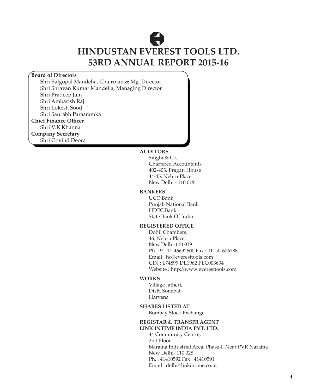# **HINDUSTAN EVEREST TOOLS LTD. HINDUSTAN EVEREST TOOLS LTD. 53RD ANNUAL REPORT 2015-16**

# **Board of Directors**

Shri Balgopal Mandelia, Chairman & Mg. Director Shri Shravan Kumar Mandelia, Managing Director Shri Pradeep Jain Shri Ambarish Raj Shri Lokesh Sood Shri Saurabh Parasramka **Chief Finance Officer** Shri V.K Khanna **Company Secretary** Shri Govind Deora

# **AUDITORS**

Singhi & Co, Chartered Accountants, 402-403, Pragati House 44-45, Nehru Place New Delhi - 110 019

# **BANKERS**

UCO Bank, Punjab National Bank HDFC Bank State Bank Of India

# **REGISTERED OFFICE**

Dohil Chambers, 46, Nehru Place, New Delhi-110 019 Ph. : 91-11-46692600 Fax : 011-41606788 Email : ho@everesttools.com CIN : L74899 DL1962 PLC003634 Website : http://www.everesttools.com

# **WORKS**

Village Jatheri, Distt. Sonepat, Haryana

**SHARES LISTED AT**

Bombay Stock Exchange

## **REGISTAR & TRANSFR AGENT LINK INTIME INDIA PVT. LTD.**

44 Community Centre, 2nd Floor Naraina Industrial Area, Phase-I, Near PVR Naraina New Delhi- 110 028 Ph. : 41410592 Fax : 41410591  $Email \cdot delhi@linkintime co.in$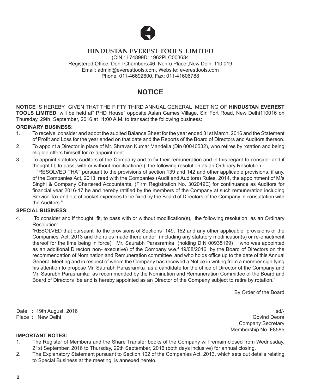

(CIN : L74899DL1962PLC003634 Registered Office: Dohil Chambers,46, Nehru Place ,New Delhi 110 019 Email: admin@everesttools.com, Website: everesttools.com Phone: 011-46692600, Fax: 011-41606788

# **NOTICE**

**NOTICE** IS HEREBY GIVEN THAT THE FIFTY THIRD ANNUAL GENERAL MEETING OF **HINDUSTAN EVEREST TOOLS LIMITED** .will be held at" PHD House" opposite Asian Games Village, Siri Fort Road, New Delhi110016 on Thursday, 29th September, 2016 at 11:00 A.M. to transact the following business:

# **ORDINARY BUSINESS:**

- **1.** To receive, consider and adopt the audited Balance Sheet for the year ended 31st March, 2016 and the Statement of Profit and Loss for the year ended on that date and the Reports of the Board of Directors and Auditors thereon.
- 2. To appoint a Director in place of Mr. Shravan Kumar Mandelia (Din 00040532), who retires by rotation and being eligible offers himself for re-appointment.
- 3. To appoint statutory Auditors of the Company and to fix their remuneration and in this regard to consider and if thought fit, to pass, with or without modification(s), the following resolution as an Ordinary Resolution:-

"RESOLVED THAT pursuant to the provisions of section 139 and 142 and other applicable provisions, if any, of the Companies Act, 2013, read with the Companies (Audit and Auditors) Rules, 2014, the appointment of M/s Singhi & Company Chartered Accountants, (Firm Registration No. 302049E) for continuance as Auditors for financial year 2016-17 he and hereby ratified by the members of the Company at such remuneration including Service Tax and out of pocket expenses to be fixed by the Board of Directors of the Company in consultation with the Auditors."

# **SPECIAL BUSINESS:**

4. To consider and if thought fit, to pass with or without modification(s), the following resolution as an Ordinary Resolution:

"RESOLVED that pursuant to the provisions of Sections 149, 152 and any other applicable provisions of the Companies Act, 2013 and the rules made there under (including any statutory modification(s) or re-enactment thereof for the time being in force), Mr. Saurabh Parasramka (holding DIN 00935199) who was appointed as an additional Director( non- executive) of the Company w.e.f 19/08/2016 by the Board of Directors on the recommendation of Nomination and Remuneration committee and who holds office up to the date of this Annual General Meeting and in respect of whom the Company has received a Notice in writing from a member signifying his attention to propose Mr. Saurabh Parasramka as a candidate for the office of Director of the Company and Mr. Saurabh Parasramka as recommended by the Nomination and Remuneration Committee of the Board and Board of Directors be and is hereby appointed as an Director of the Company subject to retire by rotation."

By Order of the Board

Date : 19th August, 2016 sd/-Place : New Delhi Govind Deora (Calculus Covincine Deora Covincine Deora Covincine Deora Covincine Deora Covincine Deora Covincine Deora Covincine Deora Covincine Deora Covincine Deora Covincine Deora Covincine Deora Covin

 Company Secretary Membership No. F8585

# **IMPORTANT NOTES:**

- 1. The Register of Members and the Share Transfer books of the Company will remain closed from Wednesday, 21st September, 2016 to Thursday, 29th September, 2016 (both days inclusive) for annual closing.
- 2. The Explanatory Statement pursuant to Section 102 of the Companies Act, 2013, which sets out details relating to Special Business at the meeting, is annexed hereto.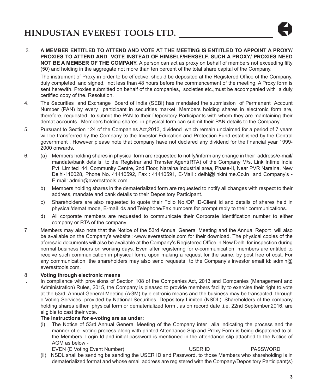

 3. **A MEMBER ENTITLED TO ATTEND AND VOTE AT THE MEETING IS ENTITLED TO APPOINT A PROXY/ PROXIES TO ATTEND AND VOTE INSTEAD OF HIMSELF/HERSELF. SUCH A PROXY/ PROXIES NEED NOT BE A MEMBER OF THE COMPANY.** A person can act as proxy on behalf of members not exceeding fifty (50) and holding in the aggregate not more than ten percent of the total share capital of the Company.

The instrument of Proxy in order to be effective, should be deposited at the Registered Office of the Company, duly completed and signed, not less than 48 hours before the commencement of the meeting. A Proxy form is sent herewith. Proxies submitted on behalf of the companies, societies etc.,must be accompanied with a duly certified copy of the. Resolution.

- 4. The Securities and Exchange Board of India (SEBI) has mandated the submission of Permanent Account Number (PAN) by every participant in securities market. Members holding shares in electronic form are, therefore, requested to submit the PAN to their Depository Participants with whom they are maintaining their demat accounts. Members holding shares in physical form can submit their PAN details to the Company.
- 5. Pursuant to Section 124 of the Companies Act,2013, dividend which remain unclaimed for a period of 7 years will be transferred by the Company to the Investor Education and Protection Fund established by the Central government . However please note that company have not declared any dividend for the financial year 1999- 2000 onwards.
- 6. (a) Members holding shares in physical form are requested to notify/inform any change in their address/e-mail/ mandate/bank details to the Registrar and Transfer Agent(RTA) of the Company M/s. Link Intime India Pvt. Limited 44, Community Centre, 2nd Floor, Naraina Industrial area, Phase-II, Near PVR Naraina, New Delhi-110028, Phone No. 41410592, Fax : 41410591, E-Mail : delhi@linkintime.Co.in and Company's - E-mail: admin@everesttools.com
	- b) Members holding shares in the dematerialized form are requested to notify all changes with respect to their address, mandate and bank details to their Depository Participant.
	- c) Shareholders are also requested to quote their Folio No./DP ID-Client Id and details of shares held in physical/demat mode, E-mail ids and Telephone/Fax numbers for prompt reply to their communications.
	- d) All corporate members are requested to communicate their Corporate Identification number to either company or RTA of the company.
- 7. Members may also note that the Notice of the 53rd Annual General Meeting and the Annual Report will also be available on the Company's website :-www.everesttools.com for their download. The physical copies of the aforesaid documents will also be available at the Company's Registered Office in New Delhi for inspection during normal business hours on working days. Even after registering for e-communication, members are entitled to receive such communication in physical form, upon making a request for the same, by post free of cost. For any communication, the shareholders may also send requests to the Company's investor email id: admin@ everesttools.com.

# 8. **Voting through electronic means**

I. In compliance with provisions of Section 108 of the Companies Act, 2013 and Companies (Management and Administration) Rules, 2015, the Company is pleased to provide members facility to exercise their right to vote at the 53rd Annual General Meeting (AGM) by electronic means and the business may be transacted through e-Voting Services provided by National Securities Depository Limited (NSDL). Shareholders of the company holding shares either physical form or dematerialized form , as on record date ,i.e. 22nd September,2016, are eligible to cast their vote.

# **The instructions for e-voting are as under:**

(i) The Notice of 53rd Annual General Meeting of the Company inter alia indicating the process and the manner of e- voting process along with printed Attendance Slip and Proxy Form is being dispatched to all the Members, Login Id and initial password is mentioned in the attendance slip attached to the Notice of AGM as below:-

EVEN (E Voting Event Number) USER ID PASSWORD

- 
- (ii) NSDL shall be sending be sending the USER ID and Password, to those Members who shareholding is in dematerialized format and whose email address are registered with the Company/Depository Participant(s)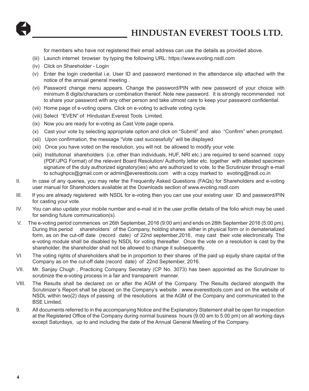

for members who have not registered their email address can use the details as provided above.

- (iii) Launch internet browser by typing the following URL: https://www.evoting.nsdl.com
- (iv) Click on Shareholder Login
- (v) Enter the login credential i.e. User ID and password mentioned in the attendance slip attached with the notice of the annual general meeting .
- (vi) Password change menu appears. Change the password/PIN with new password of your choice with minimum 8 digits/characters or combination thereof. Note new password. It is strongly recommended not to share your password with any other person and take utmost care to keep your password confidential.
- (vii) Home page of e-voting opens. Click on e-voting to activate voting cycle.
- (viii) Select "EVEN" of Hindustan Everest Tools Limited.
- (ix) Now you are ready for e-voting as Cast Vote page opens.
- (x) Cast your vote by selecting appropriate option and click on "Submit" and also "Confirm" when prompted.
- (xii) Upon confirmation, the message "Vote cast successfully" will be displayed
- (xii) Once you have voted on the resolution, you will not be allowed to modify your vote
- (xiii) Institutional shareholders (i.e. other than individuals, HUF, NRI etc.) are required to send scanned copy (PDF/JPG Format) of the relevant Board Resolution/ Authority letter etc. together with attested specimen signature of the duly authorized signatory(ies) who are authorized to vote, to the Scrutinizer through e-mail to schughpcs@gmail.com or admin@everesttools.com with a copy marked to evoting@nsdl.co.in
- II. In case of any queries, you may refer the Frequently Asked Questions (FAQs) for Shareholders and e-voting user manual for Shareholders available at the Downloads section of www.evoting.nsdl.com
- III. If you are already registered with NSDL for e-voting then you can use your existing user ID and password/PIN for casting your vote.
- IV. You can also update your mobile number and e-mail id in the user profile details of the folio which may be used for sending future communication(s).
- V. The e-voting period commences on 26th September, 2016 (9:00 am) and ends on 28th September 2016 (5:00 pm). During this period shareholders' of the Company, holding shares either in physical form or in dematerialized form, as on the cut-off date (record date) of 22nd september,2016, may cast their vote electronically. The e-voting module shall be disabled by NSDL for voting thereafter. Once the vote on a resolution is cast by the shareholder, the shareholder shall not be allowed to change it subsequently.
- VI. The voting rights of shareholders shall be in proportion to their shares of the paid up equity share capital of the Company as on the cut-off date (record date) of 22nd September, 2016.
- VII. Mr. Sanjay Chugh , Practicing Company Secretary (CP No. 3073) has been appointed as the Scrutinizer to scrutinize the e-voting process in a fair and transparent manner.
- VIII. The Results shall be declared on or after the AGM of the Company. The Results declared alongwith the Scrutinizer's Report shall be placed on the Company's website : www.everesttools.com and on the website of NSDL within two(2) days of passing of the resolutions at the AGM of the Company and communicated to the BSE Limited.
- 9. All documents referred to in the accompanying Notice and the Explanatory Statement shall be open for inspection at the Registered Office of the Company during normal business hours (9.00 am to 5.00 pm) on all working days except Saturdays, up to and including the date of the Annual General Meeting of the Company.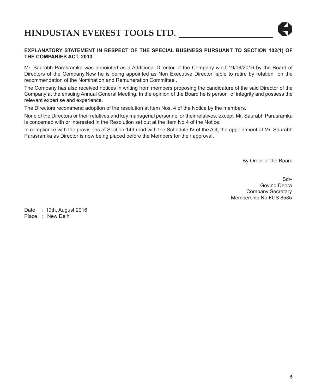# **EXPLANATORY STATEMENT IN RESPECT OF THE SPECIAL BUSINESS PURSUANT TO SECTION 102(1) OF THE COMPANIES ACT, 2013**

Mr. Saurabh Parasramka was appointed as a Additional Director of the Company w.e.f 19/08/2016 by the Board of Directors of the Company.Now he is being appointed as Non Executive Director liable to retire by rotation on the recommendation of the Nomination and Remuneration Committee .

The Company has also received notices in writing from members proposing the candidature of the said Director of the Company at the ensuing Annual General Meeting. In the opinion of the Board he is person of integrity and possess the relevant expertise and experience.

The Directors recommend adoption of the resolution at item Nos. 4 of the Notice by the members.

None of the Directors or their relatives and key managerial personnel or their relatives, except Mr. Saurabh Parasramka is concerned with or interested in the Resolution set out at the Item No 4 of the Notice.

In compliance with the provisions of Section 149 read with the Schedule IV of the Act, the appointment of Mr. Saurabh Parasramka as Director is now being placed before the Members for their approval.

By Order of the Board

 $S$ d/- $\sim$ Govind Deora Company Secretary Membership No.FCS 8585

Date : 19th, August 2016 Place : New Delhi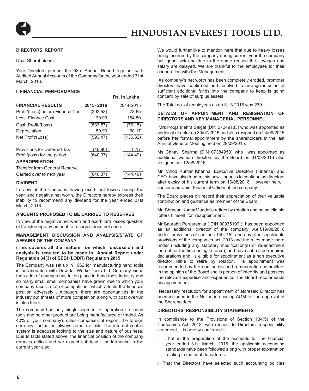

# **DIRECTORS' REPORT**

#### Dear Shareholders,

Your Directors present the 53rd Annual Report together with Audited Annual Accounts of the Company for the year ended 31st March, 2016.

## **I. FINANCIAL PERFORMANCE**

|                                   |           | Rs. In Lakhs |
|-----------------------------------|-----------|--------------|
| <b>FINANCIAL RESULTS</b>          | 2015-2016 | 2014-2015    |
| Profit/(Loss) before Finance Cost | (393.58)  | 78.65        |
| Less: Finance Cost                | 139.99    | 154.80       |
| Cash Profit/(Loss)                | (533.57)  | (76.15)      |
| Depreciation                      | 59.90     | 60.17        |
| Net Profit/(Loss)                 | (593.47)  | (136.32)     |
| Provisions for Deferred Tax       | (46.90)   | 8.17         |
| Profit/(loss) for the period      | (640.37)  | (144.49)     |
| <b>APPROPRIATION</b>              |           |              |
| Transfer from General Reserve     |           |              |
| Carried over to next year         | (640.37)  | (144.49)     |

#### **DIVIDEND**

In view of the Company having exorbitant losses during the year, and negative net worth, the Directors hereby express their inability to recommend any dividend for the year ended 31st March, 2016.

## **AMOUNTS PROPOSED TO BE CARRIED TO RESERVES**

In view of the negative net worth and exorbitant losses question of transferring any amount to reserves does not arise.

#### **MANAGEMENT DISCUSSION AND ANALYSIS/STATE OF AFFAIRS OF THE COMPANY**

#### **(This coveres all the matters on which discussion and analysis is required to be made in Annual Report under Regulation 34(3) of SEBI (LODR) Regulation 2015**

The Company was set up in 1962 for manufacturing hand tools in collaboration with Dowidat Werke Tools Ltd.,Germany since then a lot of changes has taken place in hand tools industry and so many small small companies have grown due to which your company faces a lot of competition which affects the financial position adversely . Although, there are opportunities in the industry but threats of more competition along with cost overrun is also there.

The company has only single segment of operation i.e. hand tools and no other product are being manufactured or traded. As 40% of your company's sales comprises of export, the foreign currency fluctuation always remain a risk. The internal control system is adequate looking to the size and nature of business. Due to facts stated above, the financial position of the company remains critical and we expect subdued performance in the current year also.

We would further like to mention here that due to heavy losses being incurred by the company during current year the company has gone sick and due to the same reason the wages and salary are delayed. We are thankful to the employees for their cooperation with the Management.

 As company's net worth has been completely eroded, promoter directors have confirmed and resolved to arrange infusion of sufficient additional funds into the company to keep is going concern by sale of surplus assets.

The Total no. of employees as on 31.3.2016 was 230.

#### **DETAILS OF APPOINTMENT AND RESIGNATION OF DIRECTORS AND KEY MANAGERIAL PERSONNEL**

 Mrs Pooja Mehra Saigal (DIN 07249183) who was appointed as addional director on 30/07/2015 had also resigned on 24/09/2015 before her formal appointment by the shareholders in the last Annual General Meeting held on 29/09/2015.

Ms Chhavi Sharma (DIN 07384953) who was appointed as additional woman directors by the Board on 31/03/2016 also resigned on 12/08/2016.

Mr. Vinod Kumar Khanna, Executive Directors (Finance) and CFO have also tenders his unwillingness to continue as directors after expiry of his current term on 16/08/2016. However he will continue as Chief Financial Officer of the company.

The Board places on record their appreciation of their valuable contribution and guidance as member of the Board.

Mr .Shravan KumarMandelia retires by rotation and being eligible ,offers himself for reappointment.

Mr Saurabh Parasramka ( DIN 00935199 ) has been appointed as an additional director of the company w.e.f.19/08/2016 under provisions of sections 149, 152 and any other applicable provisions of the companies act, 2013 and the rules made there under (including any statutory modification(s) or re-enactment thereof for the time being in force), and have submitted required declarations and is eligible for appointment as a non executive director liable to retire by rotation. His appointment was recommended by the nomination and remuneration committee. In the opinion of the Board she is person of integrity and possess the relevant expertise and experience. The Board recommends his appointment.

 Necessary resolution for appointment of aforesaid Director has been included in the Notice in ensuing AGM for the approval of the Shareholders.

## **DIRECTORS' RESPONSIBILITY STATEMENTS**

In compliance to the Provisions of Section 134(5) of the Companies Act, 2013, with respect to Directors' responsibility statement, it is hereby confirmed :-

- i. That in the preparation of the accounts for the financial year ended 31st March, 2016. the applicable accounting standards have been followed along with proper explanation relating to material departures.
- ii. That the Directors have selected such accounting policies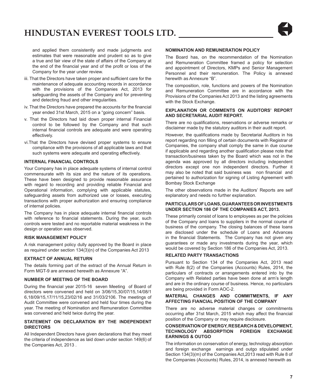

and applied them consistently and made judgments and estimates that were reasonable and prudent so as to give a true and fair view of the state of affairs of the Company at the end of the financial year and of the profit or loss of the Company for the year under review.

- iii. That the Directors have taken proper and sufficient care for the maintenance of adequate accounting records in accordance with the provisions of the Companies Act, 2013 for safeguarding the assets of the Company and for preventing and detecting fraud and other irregularities.
- iv. That the Directors have prepared the accounts for the financial year ended 31st March, 2015 on a "going concern" basis.
- v. That the Directors had laid down proper internal Financial control to be followed by the Company and that such internal financial controls are adequate and were operating effectively.
- vi.That the Directors have devised proper systems to ensure compliance with the provisions of all applicable laws and that such systems were adequate and operating effectively.

#### **INTERNAL FINANCIAL CONTROLS**

Your Company has in place adequate systems of internal control commensurate with its size and the nature of its operations. These have been designed to provide reasonable assurance with regard to recording and providing reliable Financial and Operational information, complying with applicable statutes, safeguarding assets from authorized use or losses, executing transactions with proper authorization and ensuring compliance of internal policies.

The Company has in place adequate internal financial controls with reference to financial statements. During the year, such controls were tested and no reportable material weakness in the design or operation was observed.

## **RISK MANAGEMENT POLICY**

A risk management policy dully approved by the Board in place as required under section 134(3)(n) of the Companies Act 2013

## **EXTRACT OF ANNUAL RETURN**

The details forming part of the extract of the Annual Return in Form MGT-9 are annexed herewith as Annexure "A".

# **NUMBER OF MEETING OF THE BOARD**

During the financial year 2015-16 seven Meeting of Board of directors were convened and held on 3/06/15,30/07/15,14/08/1 6,18/09/15,17/11/15,23/02/16 and 31/03/2106. The meetings of Audit Committee were convened and held four times during the year. The meeting of Nomination and Remuneration Committee was convened and held twice during the year.

# **STATEMENT ON DECLARATION BY THE INDEPENDENT DIRECTORS**

All Independent Directors have given declarations that they meet the criteria of independence as laid down under section 149(6) of the Companies Act, 2013 .

## **NOMINATION AND REMUNERATION POLICY**

The Board has, on the recommendation of the Nomination and Remuneration Committee framed a policy for selection and appointment of Directors, KMPs and Senior Management Personnel and their remuneration. The Policy is annexed herewith as Annexure "B".

The composition, role, functions and powers of the Nomination and Remuneration Committee are in accordance with the Provisions of the Companies Act 2013 and the listing agreements with the Stock Exchange.

## **EXPLANATION OR COMMENTS ON AUDITORS' REPORT AND SECRETARIAL AUDIT REPORT.**

There are no qualifications, reservations or adverse remarks or disclaimer made by the statutory auditors in their audit report.

However, the qualifications made by Secretarial Auditors in his report regarding non filling of certain documents with Registrar of Companies, the company shall comply the same in due course if applicable and regarding another qualification please note that transaction/business taken by the Board which was not in the agenda was approved by all directors including independent directors except one non independent directors. Further it may also be noted that said business was non financial and pertained to authorization for signing of Listing Agreement with Bombay Stock Exchange

The other observations made in the Auditors' Reports are self explanatory and needs no further explanation.

## **PARTICULARS OF LOANS, GUARANTEES OR INVESTMENTS UNDER SECTION 186 OF THE COMPANIES ACT, 2013.**

These primarily consist of loans to employees as per the policies of the Company and loans to suppliers in the normal course of business of the company. The closing balances of these loans are disclosed under the schedule of Loans and Advances in the financial Statements. The Company has not given any guarantees or made any investments during the year, which would be covered by Section 186 of the Companies Act, 2013.

## **RELATED PARTY TRANSACTIONS**

Pursuant to Section 134 of the Companies Act, 2013 read with Rule 8(2) of the Companies (Accounts) Rules, 2014, the particulars of contracts or arrangements entered into by the Company with Related parties have been done at arm's length and are in the ordinary course of business. Hence, no particulars are being provided in Form AOC-2.

#### **MATERIAL CHANGES AND COMMITMENTS, IF ANY AFFECTING FIANCIAL POSITION OF THE COMPANY**

There are no adverse material changes or commitments occurring after 31st March, 2015 which may affect the financial position of the Company or may require disclosure.

#### **CONSERVATION OF ENERGY, RESEARCH & DEVELOPMENT, TECHNOLOGY ABSORPTION FOREIGN EXCHANGE EARNINGS & OUTGO**

The information on conservation of energy, technology absorption and foreign exchange earnings and outgo stipulated under Section 134(3)(m) of the Companies Act,2013 read with Rule 8 of the Companies (Accounts) Rules, 2014, is annexed herewith as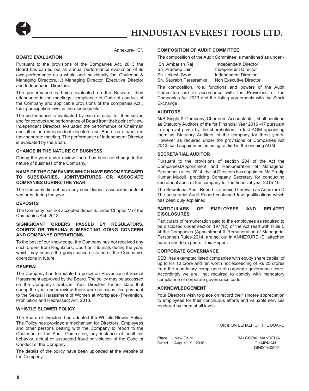

Annexure- "C".

#### **BOARD EVALUATION**

Pursuant to the provisions of the Companies Act, 2013 the Board has carried out an annual performance evaluation of its own performance as a whole and individually for Chairman & Managing Directors, Jt Managing Director, Executive Director and Independent Directors .

The performance is being evaluated on the Basis of their attendance in the meetings, compliance of Code of conduct of the Company and applicable provisions of the companies Act , their participation level in the meetings etc.

The performance is evaluated by each director for themselves and for conduct and performance of Board from their point of view. Independent Directors evaluated the performance of Chairman and other non independent directors and Board as a whole in their separate meeting. The performance of Independent Director is evaluated by the Board.

## **CHANGE IN THE NATURE OF BUSINESS**

During the year under review, there has been no change in the nature of business of the Company.

#### **NAME OF THE COMPANIES WHICH HAVE BECOME/CEASED TO SUBSIDARIES, JOINTVENTURES OR ASSOCIATE COMPANIES DURING THE YEAR.**

The Company did not have any subsidiaries, associates or Joint ventures during the year.

#### **DEPOSITS**

The Company has not accepted deposits under Chapter V of the Companies Act, 2013.

#### **SIGNIGICANT ORDERS PASSED BY REGULATORS, COURTS OR TRIBUNALS IMPACTING GOING CONCERN AND COMPANYS OPERATIONS.**

To the best of our knowledge, the Company has not received any such orders from Regulators, Court or Tribunals during the year, which may impact the going concern status or the Company's operations in future.

#### **GENERAL**

The Company has formulated a policy on Prevention of Sexual Harassment approved by the Board. The policy may be accessed on the Company's website. Your Directors further state that during the year under review, there were no cases filed pursuant to the Sexual Harassment of Women at Workplace (Prevention, Prohibition and Redressed) Act, 2013.

#### **WHISTLE BLOWER POLICY**

The Board of Directors has adopted the Whistle Blower Policy. The Policy has provided a mechanism for Directors, Employees and other persons dealing with the Company to report to the Chairman of the Audit Committee, any instance of unethical behavior, actual or suspected fraud or violation of the Code of Conduct of the Company.

The details of the policy have been uploaded at the website of the Company.

# **COMPOSITION OF AUDIT COMMITTEE**

The composition of the Audit Committee is mentioned as under:-

| Sh Ambarish Raj        | <b>Independent Director</b> |
|------------------------|-----------------------------|
| Sh. Pradeep Jain       | <b>Independent Director</b> |
| Sh. Lokesh Sood        | <b>Independent Director</b> |
| Sh. Saurabh Parasramka | Non Executive Director      |

The composition, role, functions and powers of the Audit Committee are in accordance with the Provisions of the Companies Act 2013 and the listing agreements with the Stock Exchange.

#### **AUDITORS**

M/S Singhi & Company, Chartered Accountants , shall continue as Statutory Auditors of the for Financial Year 2016 -17 pursuant to approval given by the shareholders in last AGM appointing them as Statutory Auditors' of the company for three years. However as required under the provisions of Companies Act 2013, said appointment is being ratified in the ensuing AGM.

#### **SECRETARIAL AUDITOR**

Pursuant to the provisions of section 204 of the Act the Companies(Appointment and Remuneration of Managerial Personnel ) rules ,2014, the of Directors has appointed Mr. Pradip Kumar Muduli, practicing Company Secretary for conducting secretarial audit of the company for the financial year 2015-16.

The Secretarial Audit Report is annexed herewith as Annexure D The secretarial Audit Report contained few qualifications which has been duly explained.

#### **PARTICULARS OF EMPLOYEES AND RELATED DISCLOSURES**

Particulars of remuneration paid to the employees as required to be disclosed under section 197(12) of the Act read with Rule 5 of the Companies (Appointment & Remuneration of Managerial Personnel) Rules 2014, are set out in ANNEXURE -E attached hereto and form part of this Report.

## **CORPORATE GOVERNANCE**

SEBI has exempted listed companies with equity share capital of up to Rs 10 crore and net worth not exceeding of Rs 25 crores from the mandatory compliance of corporate governance code. Accordingly we are not required to comply with mandatory compliance of corporate governance code.

#### **ACKNOWLEDGEMENT**

Your Directors wish to place on record their sincere appreciation to employees for their continuous efforts and valuable services rendered by them at all levels.

FOR & ON BEHALF OF THE BOARD

Place : New Delhi BALGOPAL MANDELIA<br>Dated : August 19, 2016 CHAIRMAN Dated : August 19, 2016

DIN00040592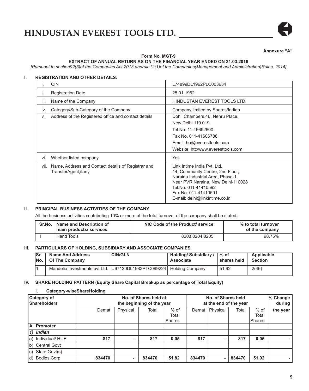

**Annexure "A"**

# **Form No. MGT-9 EXTRACT OF ANNUAL RETURN AS ON THE FINANCIAL YEAR ENDED ON 31.03.2016**

*[Pursuant to section92(3)of the Companies Act,2013 andrule12(1)of the Companies(Management and Administration)Rules, 2014]*

# **I. REGISTRATION AND OTHER DETAILS:**

|      | <b>CIN</b>                                                                 | L74899DL1962PLC003634                                                                                                                                                                                                        |
|------|----------------------------------------------------------------------------|------------------------------------------------------------------------------------------------------------------------------------------------------------------------------------------------------------------------------|
| ii.  | <b>Registration Date</b>                                                   | 25.01.1962                                                                                                                                                                                                                   |
| iii. | Name of the Company                                                        | HINDUSTAN EVEREST TOOLS LTD.                                                                                                                                                                                                 |
| IV.  | Category/Sub-Category of the Company                                       | Company limited by Shares/Indian                                                                                                                                                                                             |
| V.   | Address of the Registered office and contact details                       | Dohil Chambers, 46, Nehru Place,                                                                                                                                                                                             |
|      |                                                                            | New Delhi 110 019.                                                                                                                                                                                                           |
|      |                                                                            | Tel.No. 11-46692600                                                                                                                                                                                                          |
|      |                                                                            | Fax No. 011-41606788                                                                                                                                                                                                         |
|      |                                                                            | Email: ho@everesttools.com                                                                                                                                                                                                   |
|      |                                                                            | Website: htt:/www.everesttools.com                                                                                                                                                                                           |
| vi.  | Whether listed company                                                     | Yes                                                                                                                                                                                                                          |
| VII. | Name, Address and Contact details of Registrar and<br>TransferAgent, ifany | Link Intime India Pvt. Ltd.<br>44, Community Centre, 2nd Floor,<br>Naraina Industrial Area, Phase-1,<br>Near PVR Naraina, New Delhi-110028<br>Tel.No. 011-41410592<br>Fax No. 011-41410591<br>E-mail: delhi@linkintime.co.in |

# **II. PRINCIPAL BUSINESS ACTIVITIES OF THE COMPANY**

All the business activities contributing 10% or more of the total turnover of the company shall be stated:-

|  | Sr.No.   Name and Description of<br>main products/ services | NIC Code of the Product/ service | % to total turnover<br>of the company |
|--|-------------------------------------------------------------|----------------------------------|---------------------------------------|
|  | <sup>1</sup> Hand Tools                                     | 8203.8204.8205                   | 98.75%                                |

# **III. PARTICULARS OF HOLDING, SUBSIDIARY AND ASSOCIATE COMPANIES**

| Sr. | <b>Name And Address</b><br>$\vert$ No. $\vert$ Of The Company            | <b>CIN/GLN</b> | Holding/Subsidiary / 1% of<br><b>Associate</b> | l shares held | Applicable<br><b>Section</b> |
|-----|--------------------------------------------------------------------------|----------------|------------------------------------------------|---------------|------------------------------|
|     | Mandelia Investments pvt. Ltd.   U67120DL1983PTC099224   Holding Company |                |                                                | 51.92         | 2(46)                        |

# **IV. SHARE HOLDING PATTERN (Equity Share Capital Breakup as percentage of Total Equity)**

## **i. Category-wiseShareHolding**

| Category of<br>Shareholders |        | No. of Shares held at<br>the beginning of the year |        |               |        | No. of Shares held<br>at the end of the year |        |        |          |
|-----------------------------|--------|----------------------------------------------------|--------|---------------|--------|----------------------------------------------|--------|--------|----------|
|                             | Demat  | Physical                                           | Total  | $%$ of        | Demat  | Physical                                     | Total  | $%$ of | the year |
|                             |        |                                                    |        | Total         |        |                                              |        | Total  |          |
|                             |        |                                                    |        | <b>Shares</b> |        |                                              |        | Shares |          |
| A. Promoter                 |        |                                                    |        |               |        |                                              |        |        |          |
| 1) Indian                   |        |                                                    |        |               |        |                                              |        |        |          |
| Individual/HUF<br>la)       | 817    | ۰                                                  | 817    | 0.05          | 817    |                                              | 817    | 0.05   |          |
| <b>Central Govt</b><br>b)   |        |                                                    |        |               |        |                                              |        |        |          |
| State Govt(s)<br>lc)        |        |                                                    |        |               |        |                                              |        |        |          |
| <b>Bodies Corp</b><br>ld)   | 834470 | ٠                                                  | 834470 | 51.82         | 834470 |                                              | 834470 | 51.92  | ۰        |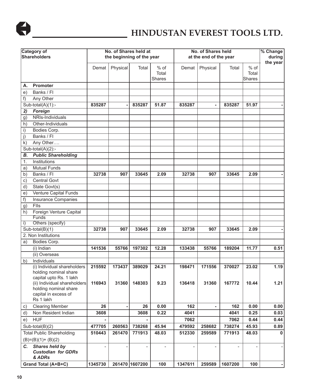

| <b>Category of</b><br><b>Shareholders</b> |                                                                                                                 |                  |                 | No. of Shares held at<br>the beginning of the year |                           |                  | No. of Shares held<br>at the end of the year |                  |                         | % Change<br>during<br>the year |
|-------------------------------------------|-----------------------------------------------------------------------------------------------------------------|------------------|-----------------|----------------------------------------------------|---------------------------|------------------|----------------------------------------------|------------------|-------------------------|--------------------------------|
|                                           |                                                                                                                 | Demat            | Physical        | Total                                              | $%$ of<br>Total<br>Shares | Demat            | Physical                                     | Total            | % of<br>Total<br>Shares |                                |
| А.                                        | Promoter                                                                                                        |                  |                 |                                                    |                           |                  |                                              |                  |                         |                                |
| e)                                        | Banks / Fl                                                                                                      |                  |                 |                                                    |                           |                  |                                              |                  |                         |                                |
| f)                                        | Any Other                                                                                                       |                  |                 |                                                    |                           |                  |                                              |                  |                         |                                |
|                                           | Sub-total(A)(1):-                                                                                               | 835287           |                 | 835287                                             | 51.87                     | 835287           | ÷                                            | 835287           | 51.97                   |                                |
| 2)                                        | Foreign                                                                                                         |                  |                 |                                                    |                           |                  |                                              |                  |                         |                                |
| g)                                        | NRIs-Individuals                                                                                                |                  |                 |                                                    |                           |                  |                                              |                  |                         |                                |
| h)                                        | Other-Individuals                                                                                               |                  |                 |                                                    |                           |                  |                                              |                  |                         |                                |
| i)                                        | Bodies Corp.                                                                                                    |                  |                 |                                                    |                           |                  |                                              |                  |                         |                                |
| j)                                        | Banks / FI                                                                                                      |                  |                 |                                                    |                           |                  |                                              |                  |                         |                                |
| $\mathsf{k}$                              | Any Other                                                                                                       |                  |                 |                                                    |                           |                  |                                              |                  |                         |                                |
|                                           | Sub-total(A)(2):-                                                                                               |                  |                 |                                                    |                           |                  |                                              |                  |                         |                                |
| В.                                        | <b>Public Shareholding</b>                                                                                      |                  |                 |                                                    |                           |                  |                                              |                  |                         |                                |
| 1.                                        | Institutions                                                                                                    |                  |                 |                                                    |                           |                  |                                              |                  |                         |                                |
| a)                                        | <b>Mutual Funds</b>                                                                                             |                  |                 |                                                    |                           |                  |                                              |                  |                         |                                |
| b)                                        | Banks / Fl                                                                                                      | 32738            | 907             | 33645                                              | 2.09                      | 32738            | 907                                          | 33645            | 2.09                    |                                |
| C)                                        | <b>Central Govt</b>                                                                                             |                  |                 |                                                    |                           |                  |                                              |                  |                         |                                |
| d)                                        | State Govt(s)                                                                                                   |                  |                 |                                                    |                           |                  |                                              |                  |                         |                                |
| e)                                        | Venture Capital Funds                                                                                           |                  |                 |                                                    |                           |                  |                                              |                  |                         |                                |
| f)                                        | Insurance Companies                                                                                             |                  |                 |                                                    |                           |                  |                                              |                  |                         |                                |
| g)                                        | Flls                                                                                                            |                  |                 |                                                    |                           |                  |                                              |                  |                         |                                |
| h)                                        | Foreign Venture Capital                                                                                         |                  |                 |                                                    |                           |                  |                                              |                  |                         |                                |
|                                           | Funds                                                                                                           |                  |                 |                                                    |                           |                  |                                              |                  |                         |                                |
| i)                                        | Others (specify)                                                                                                |                  |                 |                                                    |                           |                  |                                              |                  |                         |                                |
|                                           | Sub-total(B)(1)                                                                                                 | 32738            | 907             | 33645                                              | 2.09                      | 32738            | 907                                          | 33645            | 2.09                    |                                |
|                                           | 2. Non Institutions                                                                                             |                  |                 |                                                    |                           |                  |                                              |                  |                         |                                |
| a)                                        | Bodies Corp.                                                                                                    |                  |                 |                                                    |                           |                  |                                              |                  |                         |                                |
|                                           | (i) Indian                                                                                                      | 141536           | 55766           | 197302                                             | 12.28                     | 133438           | 55766                                        | 189204           | 11.77                   | 0.51                           |
|                                           | (ii) Overseas                                                                                                   |                  |                 |                                                    |                           |                  |                                              |                  |                         |                                |
| b)                                        | Individuals                                                                                                     |                  |                 |                                                    |                           |                  |                                              |                  |                         |                                |
|                                           | (i) Individual shareholders<br>holding nominal share<br>capital upto Rs. 1 lakh<br>(ii) Individual shareholders | 215592<br>116943 | 173437<br>31360 | 389029<br>148303                                   | 24.21<br>9.23             | 198471<br>136418 | 171556<br>31360                              | 370027<br>167772 | 23.02<br>10.44          | 1.19<br>1.21                   |
|                                           | holding nominal share<br>capital in excess of<br>Rs 1 lakh                                                      |                  |                 |                                                    |                           |                  |                                              |                  |                         |                                |
| C)                                        | <b>Clearing Member</b>                                                                                          | 26               |                 | 26                                                 | 0.00                      | 162              | $\overline{\phantom{0}}$                     | 162              | 0.00                    | 0.00                           |
| d)                                        | Non Resident Indian                                                                                             | 3608             |                 | 3608                                               | 0.22                      | 4041             |                                              | 4041             | 0.25                    | 0.03                           |
| e)                                        | <b>HUF</b>                                                                                                      |                  |                 | $\blacksquare$                                     |                           | 7062             |                                              | 7062             | 0.44                    | 0.44                           |
|                                           | Sub-total(B)(2)                                                                                                 | 477705           | 260563          | 738268                                             | 45.94                     | 479592           | 258682                                       | 738274           | 45.93                   | 0.89                           |
|                                           | <b>Total Public Shareholding</b>                                                                                | 510443           | 261470          | 771913                                             | 48.03                     | 512330           | 259589                                       | 771913           | 48.03                   | 0                              |
|                                           | $(B)=(B)(1)+(B)(2)$                                                                                             |                  |                 |                                                    |                           |                  |                                              |                  |                         |                                |
| C.                                        | Shares held by<br><b>Custodian for GDRs</b><br>& ADRs                                                           |                  |                 | $\overline{\phantom{0}}$                           | $\overline{\phantom{a}}$  |                  | $\overline{\phantom{0}}$                     |                  |                         |                                |
|                                           | Grand Total (A+B+C)                                                                                             | 1345730          |                 | 261470 1607200                                     | 100                       | 1347611          | 259589                                       | 1607200          | 100                     | ٠                              |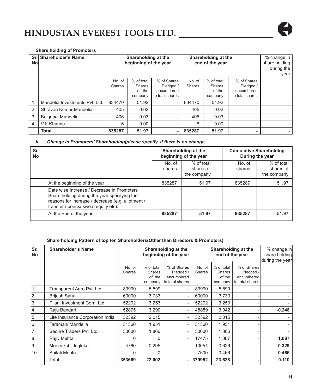

# **Share holding of Promoters**

| Sr.l<br><b>No</b> | <b>Shareholder's Name</b>      |                         | Shareholding at the<br>Shareholding at the<br>beginning of the year<br>end of the year |                                                           |                  |                                           | % change in<br>share holding<br>during the                |      |
|-------------------|--------------------------------|-------------------------|----------------------------------------------------------------------------------------|-----------------------------------------------------------|------------------|-------------------------------------------|-----------------------------------------------------------|------|
|                   |                                | No. of<br><b>Shares</b> | % of total<br><b>Shares</b><br>of the<br>company                                       | % of Shares<br>Pledged /<br>encumbered<br>to total shares | No. of<br>Shares | % of total<br>Shares<br>of the<br>company | % of Shares<br>Pledged /<br>encumbered<br>to total shares | year |
| $\mathbf 1$ .     | Mandelia Investments Pyt. Ltd. | 834470                  | 51.92                                                                                  |                                                           | 834470           | 51.92                                     |                                                           |      |
| $\overline{2}$ .  | Shravan Kumar Mandelia         | 405                     | 0.02                                                                                   |                                                           | 405              | 0.02                                      |                                                           |      |
| 3.                | Balgopal Mandelia              | 406                     | 0.03                                                                                   |                                                           | 406              | 0.03                                      |                                                           |      |
| $\overline{4}$ .  | V.K.Khanna                     | 6<br>0.00               |                                                                                        |                                                           | 6<br>0.00        |                                           |                                                           |      |
|                   | Total                          | 835287                  | 51.97                                                                                  | ٠                                                         | 835287           | 51.97                                     |                                                           |      |

# *ii. Change in Promoters' Shareholding(please specify, if there is no change*

| Sr.<br><b>No</b> |                                                                                                                                                                                         |                  | Shareholding at the<br>beginning of the year | <b>Cumulative Shareholding</b><br>During the year |                                        |  |
|------------------|-----------------------------------------------------------------------------------------------------------------------------------------------------------------------------------------|------------------|----------------------------------------------|---------------------------------------------------|----------------------------------------|--|
|                  |                                                                                                                                                                                         | No. of<br>shares | % of total<br>shares of<br>the company       | No. of<br>shares                                  | % of total<br>shares of<br>the company |  |
|                  | At the beginning of the year                                                                                                                                                            | 835287           | 51.97                                        | 835287                                            | 51.97                                  |  |
|                  | Date wise Increase / Decrease in Promoters<br>Share holding during the year specifying the<br>reasons for increase / decrease (e.g. allotment /<br>transfer / bonus/ sweat equity etc): |                  |                                              |                                                   |                                        |  |
|                  | At the End of the year                                                                                                                                                                  | 835287           | 51.97                                        | 835287                                            | 51.97                                  |  |

# **Share holding Pattern of top ten Shareholders(Other than Directors & Promoters)**

| lSr.<br>lNo | <b>Shareholder's Name</b>        | Shareholding at the<br>beginning of the year |                                                  |                                                           | Shareholding at the     | % change in<br>share holding<br>during the year  |                                                           |          |
|-------------|----------------------------------|----------------------------------------------|--------------------------------------------------|-----------------------------------------------------------|-------------------------|--------------------------------------------------|-----------------------------------------------------------|----------|
|             |                                  | No. of<br><b>Shares</b>                      | % of total<br><b>Shares</b><br>of the<br>company | % of Shares<br>Pledged /<br>encumbered<br>to total shares | No. of<br><b>Shares</b> | % of total<br><b>Shares</b><br>of the<br>company | % of Shares<br>Pledged /<br>encumbered<br>to total shares |          |
| 1.          | Transparent Agro Pvt. Ltd.       | 89990                                        | 5.599                                            |                                                           | 89990                   | 5.599                                            |                                                           |          |
| '2.         | Brijesh Sahu                     | 60000                                        | 3.733                                            | $\overline{\phantom{a}}$                                  | 60000                   | 3.733                                            |                                                           |          |
| 3.          | Pilani Investment Corn. Ltd.     | 52292                                        | 3.253                                            | $\overline{\phantom{a}}$                                  | 52292                   | 3.253                                            |                                                           |          |
| 4.          | Raju Bandari                     | 52875                                        | 3.290                                            | $\overline{\phantom{a}}$                                  | 48889                   | 3.042                                            |                                                           | $-0.248$ |
| 5.          | Life Insurance Corporation India | 32392                                        | 2.015                                            |                                                           | 32392                   | 2.015                                            |                                                           |          |
| 16.         | Taramani Mandelia                | 31360                                        | 1.951                                            |                                                           | 31360                   | 1.951                                            |                                                           |          |
| ל'.         | Secure Traders Pvt. Ltd.         | 30000                                        | 1.866                                            | $\overline{\phantom{a}}$                                  | 30000                   | 1.866                                            |                                                           |          |
| 18.         | Rajiv Mehta                      | 0                                            | $\Omega$                                         | ۰                                                         | 17475                   | 1.087                                            |                                                           | 1.087    |
| 19.         | Meenakshi Joglekar               | 4760                                         | 0.295                                            | ٠                                                         | 10054                   | 0.626                                            |                                                           | 0.329    |
| 10.         | Shifali Mehta                    | 0                                            | 0                                                |                                                           | 7500                    | 0.466                                            |                                                           | 0.466    |
|             | Total                            | 353669                                       | 22.002                                           | ٠                                                         | 379952                  | 23.638                                           |                                                           | 0.110    |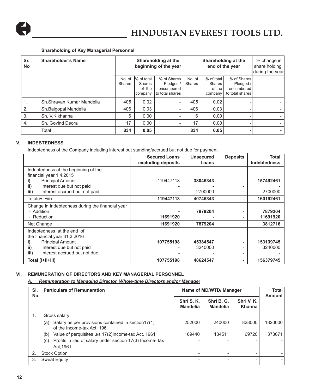

# **Shareholding of Key Managerial Personnel**

| Sr.<br>No | <b>Shareholder's Name</b> |                  |                                                   | Shareholding at the<br>beginning of the year              | Shareholding at the<br>end of the year |                                           |                                                           | % change in<br>share holding<br>during the year |
|-----------|---------------------------|------------------|---------------------------------------------------|-----------------------------------------------------------|----------------------------------------|-------------------------------------------|-----------------------------------------------------------|-------------------------------------------------|
|           |                           | No. of<br>Shares | 1% of total<br><b>Shares</b><br>of the<br>company | % of Shares<br>Pledged /<br>encumbered<br>to total shares | No. of<br>Shares                       | % of total<br>Shares<br>of the<br>company | % of Shares<br>Pledged /<br>encumbered<br>to total shares |                                                 |
| 1.        | Sh.Shravan Kumar Mandelia | 405              | 0.02                                              |                                                           | 405                                    | 0.02                                      |                                                           |                                                 |
| 2.        | Sh.Balgopal Mandelia      | 406              | 0.03                                              |                                                           | 406                                    | 0.03                                      |                                                           |                                                 |
| 3.        | Sh. V.K. khanna           | 6                | 0.00                                              |                                                           | 6                                      | 0.00                                      |                                                           |                                                 |
| 4.        | Sh. Govind Deora          | 17               | 0.00                                              |                                                           | 17                                     | 0.00                                      |                                                           |                                                 |
|           | Total                     | 834              | 0.05                                              |                                                           | 834                                    | 0.05                                      |                                                           | ٠                                               |

# **V. INDEBTEDNESS**

Indebtedness of the Company including interest out standing/accrued but not due for payment

|                                                                           | <b>Secured Loans</b><br>excluding deposits | <b>Unsecured</b><br>Loans | <b>Deposits</b> | Total<br><b>Indebtedness</b> |
|---------------------------------------------------------------------------|--------------------------------------------|---------------------------|-----------------|------------------------------|
| Indebtedness at the beginning of the                                      |                                            |                           |                 |                              |
| financial year 1.4.2015                                                   |                                            |                           |                 |                              |
| <b>Principal Amount</b><br>i)                                             | 119447118                                  | 38045343                  |                 | 157492461                    |
| ii)<br>Interest due but not paid<br>Interest accrued but not paid<br>iii) |                                            | 2700000                   |                 | 2700000                      |
|                                                                           |                                            |                           |                 |                              |
| Total(i+ii+iii)                                                           | 119447118                                  | 40745343                  | ۰               | 160192461                    |
| Change in Indebtedness during the financial year                          |                                            |                           |                 |                              |
| - Addition                                                                |                                            | 7879204                   |                 | 7879204                      |
| - Reduction                                                               | 11691920                                   |                           |                 | 11691920                     |
| Net Change                                                                | 11691920                                   | 7879204                   |                 | 3812716                      |
| Indebtedness at the end of                                                |                                            |                           |                 |                              |
| the financial year 31.3.2016                                              |                                            |                           |                 |                              |
| <b>Principal Amount</b><br>i)                                             | 107755198                                  | 45384547                  |                 | 153139745                    |
| ii)<br>Interest due but not paid                                          |                                            | 3240000                   |                 | 3240000                      |
| Interest accrued but not due<br>iii)                                      |                                            |                           |                 |                              |
| Total (i+ii+iii)                                                          | 107755198                                  | 48624547                  | ۰               | 156379745                    |

# **VI. REMUNERATION OF DIRECTORS AND KEY MANAGERIAL PERSONNEL**

*A. Remuneration to Managing Director, Whole-time Directors and/or Manage***r**

|                                                                                          | Name of MD/WTD/ Manager      | <b>Total</b><br><b>Amount</b> |                     |         |
|------------------------------------------------------------------------------------------|------------------------------|-------------------------------|---------------------|---------|
|                                                                                          | Shri S.K.<br><b>Mandelia</b> | Shri B. G.<br><b>Mandelia</b> | Shri V.K.<br>Khanna |         |
| Gross salary                                                                             |                              |                               |                     |         |
| Salary as per provisions contained in section17(1)<br>(a)<br>of the Income-tax Act, 1961 | 252000                       | 240000                        | 828000              | 1320000 |
| Value of perquisites u/s 17(2) Income-tax Act, 1961<br>(b)                               | 169440                       | 134511                        | 69720               | 373671  |
| Profits in lieu of salary under section 17(3) Income- tax<br>(c)                         |                              |                               |                     |         |
| Act. 1961                                                                                |                              |                               |                     |         |
| Stock Option                                                                             |                              |                               |                     |         |
| Sweat Equity                                                                             |                              |                               |                     |         |
|                                                                                          |                              |                               |                     |         |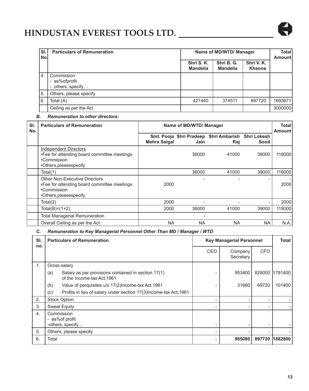

| <b>SI</b><br>No. | <b>Particulars of Remuneration</b>               | Name of MD/WTD/ Manager      | Total<br><b>Amount</b>        |                            |         |
|------------------|--------------------------------------------------|------------------------------|-------------------------------|----------------------------|---------|
|                  |                                                  | Shri S.K.<br><b>Mandelia</b> | Shri B. G.<br><b>Mandelia</b> | Shri V.K.<br><b>Khanna</b> |         |
| $\mathsf{I}4$ .  | Commission<br>- as%ofprofit<br>- others, specify |                              |                               |                            |         |
| 5.               | Others, please specify                           |                              |                               |                            |         |
| '6.              | Total (A)                                        | 421440                       | 374511                        | 897720                     | 1693671 |
|                  | Ceiling as per the Act                           |                              |                               |                            | 3000000 |

## *B. Remuneration to other directors:*

| SI.<br>No. | <b>Particulars of Remuneration</b>                                                                                      | Name of MD/WTD/ Manager |           |                                                          |       | Total<br><b>Amount</b> |
|------------|-------------------------------------------------------------------------------------------------------------------------|-------------------------|-----------|----------------------------------------------------------|-------|------------------------|
|            |                                                                                                                         | <b>Mehra Saigal</b>     | Jain      | Smt. Pooja Shri Pradeep Shri Ambarish Shri Lokesh<br>Raj | Sood  |                        |
|            | Independent Directors<br>. Fee for attending board committee meetings<br>•Commission<br>•Others, pleases pecify         |                         | 36000     | 41000                                                    | 39000 | 116000                 |
|            | Total(1)                                                                                                                |                         | 36000     | 41000                                                    | 39000 | 116000                 |
|            | Other Non-Executive Directors<br>. Fee for attending board committee meetings<br>•Commission<br>•Others, pleases pecify | 2000                    |           |                                                          |       | 2000                   |
|            | Total(2)                                                                                                                | 2000                    |           |                                                          |       | 2000                   |
|            | Total(B)= $(1+2)$                                                                                                       | 2000                    | 36000     | 41000                                                    | 39000 | 118000                 |
|            | <b>Total Managerial Remuneration</b>                                                                                    |                         |           |                                                          |       |                        |
|            | Overall Ceiling as per the Act                                                                                          | <b>NA</b>               | <b>NA</b> | <b>NA</b>                                                | NA.   | N.A.                   |

# *C. Remuneration to Key Managerial Personnel Other Than MD / Manager / WTD*

| SI.<br>no. | <b>Particulars of Remuneration</b>                                                        | <b>Key Managerial Personnel</b> |                      |                          | <b>Total</b> |
|------------|-------------------------------------------------------------------------------------------|---------------------------------|----------------------|--------------------------|--------------|
|            |                                                                                           | <b>CEO</b>                      | Company<br>Secretary | <b>CFO</b>               |              |
| 1.         | Gross salary                                                                              |                                 |                      |                          |              |
|            | Salary as per provisions contained in section 17(1)<br>(a)<br>of the Income-tax Act, 1961 |                                 | 953400               | 828000                   | 1781400      |
|            | Value of perquisites u/s 17(2) Income-tax Act, 1961<br>(b)                                |                                 | 31680                | 69720                    | 101400       |
|            | Profits in lieu of salary under section 17(3) Income-tax Act, 1961<br>(c)                 |                                 |                      |                          |              |
| 2.         | <b>Stock Option</b>                                                                       |                                 |                      | $\overline{\phantom{0}}$ |              |
| 3.         | <b>Sweat Equity</b>                                                                       |                                 |                      | $\overline{\phantom{0}}$ |              |
| 4.         | Commission<br>- as%of profit<br>-others, specify                                          |                                 |                      | $\qquad \qquad$          |              |
| 5.         | Others, please specify                                                                    |                                 |                      |                          |              |
| 6.         | Total                                                                                     |                                 | 985080               | 897720                   | 1882800      |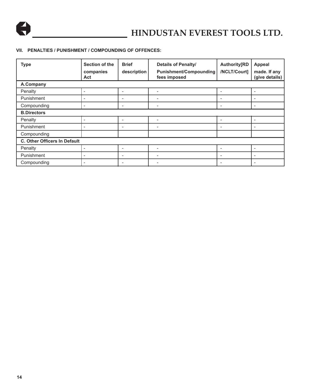

# **VII. PENALTIES / PUNISHMENT / COMPOUNDING OF OFFENCES:**

| <b>Type</b>                  | Section of the<br><b>Brief</b><br><b>Details of Penalty/</b><br><b>Punishment/Compounding</b><br>description<br>companies<br>fees imposed<br>Act |                          | Authority[RD<br>/NCLT/Court] | Appeal<br>made. If any<br>(give details) |                          |
|------------------------------|--------------------------------------------------------------------------------------------------------------------------------------------------|--------------------------|------------------------------|------------------------------------------|--------------------------|
| A.Company                    |                                                                                                                                                  |                          |                              |                                          |                          |
| Penalty                      |                                                                                                                                                  |                          |                              |                                          | $\overline{a}$           |
| Punishment                   | $\overline{\phantom{0}}$                                                                                                                         | $\overline{\phantom{0}}$ | $\qquad \qquad$              | $\overline{\phantom{0}}$                 | $\overline{\phantom{a}}$ |
| Compounding                  | $\overline{\phantom{a}}$                                                                                                                         | $\overline{\phantom{a}}$ | $\qquad \qquad$              | $\overline{\phantom{0}}$                 | $\overline{\phantom{a}}$ |
| <b>B.Directors</b>           |                                                                                                                                                  |                          |                              |                                          |                          |
| Penalty                      |                                                                                                                                                  | ۰                        | $\qquad \qquad$              |                                          | $\overline{\phantom{a}}$ |
| Punishment                   | $\overline{\phantom{0}}$                                                                                                                         | $\overline{\phantom{0}}$ | $\overline{\phantom{0}}$     |                                          | $\overline{\phantom{0}}$ |
| Compounding                  |                                                                                                                                                  |                          |                              |                                          |                          |
| C. Other Officers In Default |                                                                                                                                                  |                          |                              |                                          |                          |
| Penalty                      | $\overline{\phantom{a}}$                                                                                                                         | $\overline{\phantom{a}}$ | $\overline{\phantom{a}}$     | $\overline{\phantom{0}}$                 | $\overline{\phantom{a}}$ |
| Punishment                   | $\overline{\phantom{a}}$                                                                                                                         | $\overline{\phantom{0}}$ | $\overline{\phantom{0}}$     | $\overline{\phantom{0}}$                 | $\overline{\phantom{a}}$ |
| Compounding                  | $\overline{\phantom{a}}$                                                                                                                         | $\overline{\phantom{0}}$ | $\overline{\phantom{0}}$     |                                          | $\overline{\phantom{0}}$ |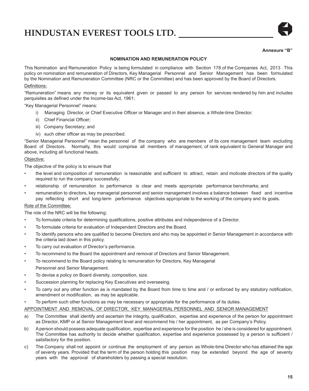

## **Annexure "B"**

#### **NOMINATION AND REMUNERATION POLICY**

This Nomination and Remuneration Policy is being formulated in compliance with Section 178 of the Companies Act, 2013 . This policy on nomination and remuneration of Directors, Key Managerial Personnel and Senior Management has been formulated by the Nomination and Remuneration Committee (NRC or the Committee) and has been approved by the Board of Directors.

## Definitions:

"Remuneration" means any money or its equivalent given or passed to any person for services rendered by him and includes perquisites as defined under the Income-tax Act, 1961;

"Key Managerial Personnel" means:

- i) Managing Director, or Chief Executive Officer or Manager and in their absence, a Whole-time Director;
- ii) Chief Financial Officer;
- iii) Company Secretary; and
- iv) such other officer as may be prescribed.

"Senior Managerial Personnel" mean the personnel of the company who are members of its core management team excluding Board of Directors. Normally, this would comprise all members of management, of rank equivalent to General Manager and above, including all functional heads.

## Objective:

The objective of the policy is to ensure that

- the level and composition of remuneration is reasonable and sufficient to attract, retain and motivate directors of the quality required to run the company successfully;
- relationship of remuneration to performance is clear and meets appropriate performance benchmarks; and
- remuneration to directors, key managerial personnel and senior management involves a balance between fixed and incentive pay reflecting short and long-term performance objectives appropriate to the working of the company and its goals.

#### Role of the Committee:

The role of the NRC will be the following:

- To formulate criteria for determining qualifications, positive attributes and independence of a Director.
- To formulate criteria for evaluation of Independent Directors and the Board.
- To identify persons who are qualified to become Directors and who may be appointed in Senior Management in accordance with the criteria laid down in this policy.
- To carry out evaluation of Director's performance.
- To recommend to the Board the appointment and removal of Directors and Senior Management.
- To recommend to the Board policy relating to remuneration for Directors, Key Managerial Personnel and Senior Management.
- To devise a policy on Board diversity, composition, size.
- Succession planning for replacing Key Executives and overseeing.
- To carry out any other function as is mandated by the Board from time to time and / or enforced by any statutory notification, amendment or modification, as may be applicable.
- To perform such other functions as may be necessary or appropriate for the performance of its duties.

## APPOINTMENT AND REMOVAL OF DIRECTOR, KEY MANAGERIAL PERSONNEL AND SENIOR MANAGEMENT

- a) The Committee shall identify and ascertain the integrity, qualification, expertise and experience of the person for appointment as Director, KMP or at Senior Management level and recommend his / her appointment, as per Company's Policy.
- b) A person should possess adequate qualification, expertise and experience for the position he / she is considered for appointment. The Committee has authority to decide whether qualification, expertise and experience possessed by a person is sufficient / satisfactory for the position.
- c) The Company shall not appoint or continue the employment of any person as Whole-time Director who has attained the age of seventy years. Provided that the term of the person holding this position may be extended beyond the age of seventy years with the approval of shareholders by passing a special resolution.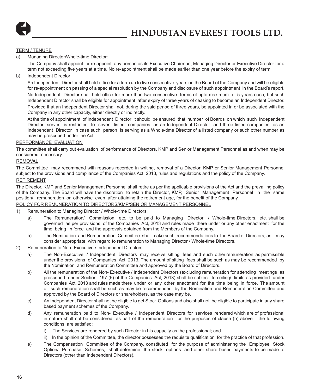

# TERM / TENURE

a) Managing Director/Whole-time Director:

The Company shall appoint or re-appoint any person as its Executive Chairman, Managing Director or Executive Director for a term not exceeding five years at a time. No re-appointment shall be made earlier than one year before the expiry of term.

b) Independent Director:

An Independent Director shall hold office for a term up to five consecutive years on the Board of the Company and will be eligible for re-appointment on passing of a special resolution by the Company and disclosure of such appointment in the Board's report.

No Independent Director shall hold office for more than two consecutive terms of upto maximum of 5 years each, but such Independent Director shall be eligible for appointment after expiry of three years of ceasing to become an Independent Director. Provided that an Independent Director shall not, during the said period of three years, be appointed in or be associated with the Company in any other capacity, either directly or indirectly.

At the time of appointment of Independent Director it should be ensured that number of Boards on which such Independent Director serves is restricted to seven listed companies as an Independent Director and three listed companies as an Independent Director in case such person is serving as a Whole-time Director of a listed company or such other number as may be prescribed under the Act

#### PERFORMANCE EVALUATION

The committee shall carry out evaluation of performance of Directors, KMP and Senior Management Personnel as and when may be considered necessary.

## REMOVAL

The Committee may recommend with reasons recorded in writing, removal of a Director, KMP or Senior Management Personnel subject to the provisions and compliance of the Companies Act, 2013, rules and regulations and the policy of the Company.

# RETIREMENT

The Director, KMP and Senior Management Personnel shall retire as per the applicable provisions of the Act and the prevailing policy of the Company. The Board will have the discretion to retain the Director, KMP, Senior Management Personnel in the same position/ remuneration or otherwise even after attaining the retirement age, for the benefit of the Company.

# POLICY FOR REMUNERATION TO DIRECTORS/KMP/SENIOR MANAGEMENT PERSONNEL

- 1) Remuneration to Managing Director / Whole-time Directors:
	- a) The Remuneration/ Commission etc. to be paid to Managing Director / Whole-time Directors, etc. shall be governed as per provisions of the Companies Act, 2013 and rules made there under or any other enactment for the time being in force and the approvals obtained from the Members of the Company.
	- b) The Nomination and Remuneration Committee shall make such recommendations to the Board of Directors, as it may consider appropriate with regard to remuneration to Managing Director / Whole-time Directors.
- 2) Remuneration to Non- Executive / Independent Directors:
	- a) The Non-Executive / Independent Directors may receive sitting fees and such other remuneration as permissible under the provisions of Companies Act, 2013. The amount of sitting fees shall be such as may be recommended by the Nomination and Remuneration Committee and approved by the Board of Directors.
	- b) All the remuneration of the Non- Executive / Independent Directors (excluding remuneration for attending meetings as prescribed under Section 197 (5) of the Companies Act, 2013) shall be subject to ceiling/ limits as provided under Companies Act, 2013 and rules made there under or any other enactment for the time being in force. The amount of such remuneration shall be such as may be recommended by the Nomination and Remuneration Committee and approved by the Board of Directors or shareholders, as the case may be.
	- c) An Independent Director shall not be eligible to get Stock Options and also shall not be eligible to participate in any share based payment schemes of the Company.
	- d) Any remuneration paid to Non- Executive / Independent Directors for services rendered which are of professional in nature shall not be considered as part of the remuneration for the purposes of clause (b) above if the following conditions are satisfied:
		- i) The Services are rendered by such Director in his capacity as the professional; and
		- ii) In the opinion of the Committee, the director possesses the requisite qualification for the practice of that profession.
	- e) The Compensation Committee of the Company, constituted for the purpose of administering the Employee Stock Option/ Purchase Schemes, shall determine the stock options and other share based payments to be made to Directors (other than Independent Directors).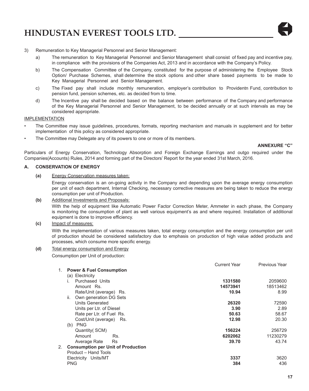

## 3) Remuneration to Key Managerial Personnel and Senior Management:

- a) The remuneration to Key Managerial Personnel and Senior Management shall consist of fixed pay and incentive pay, in compliance with the provisions of the Companies Act, 2013 and in accordance with the Company's Policy.
- b) The Compensation Committee of the Company, constituted for the purpose of administering the Employee Stock Option/ Purchase Schemes, shall determine the stock options and other share based payments to be made to Key Managerial Personnel and Senior Management.
- c) The Fixed pay shall include monthly remuneration, employer's contribution to Providentn Fund, contribution to pension fund, pension schemes, etc. as decided from to time.
- d) The Incentive pay shall be decided based on the balance between performance of the Company and performance of the Key Managerial Personnel and Senior Management, to be decided annually or at such intervals as may be considered appropriate.

# **IMPLEMENTATION**

- The Committee may issue guidelines, procedures, formats, reporting mechanism and manuals in supplement and for better implementation of this policy as considered appropriate.
- The Committee may Delegate any of its powers to one or more of its members.

## **ANNEXURE "C"**

Particulars of Energy Conservation, Technology Absorption and Foreign Exchange Earnings and outgo required under the Companies(Accounts) Rules, 2014 and forming part of the Directors' Report for the year ended 31st March, 2016.

## **A. CONSERVATION OF ENERGY**

**(a)** Energy Conservation measures taken:

Energy conservation is an on-going activity in the Company and depending upon the average energy consumption per unit of each department, Internal Checking, necessary corrective measures are being taken to reduce the energy consumption per unit of Production.

**(b)** Additional Investments and Proposals: With the help of equipment like Automatic Power Factor Correction Meter, Ammeter in each phase, the Company is monitoring the consumption of plant as well various equipment's as and where required. Installation of additional equipment is done to improve efficiency.

# **(c)** Impact of measures:

With the implementation of various measures taken, total energy consumption and the energy consumption per unit of production should be considered satisfactory due to emphasis on production of high value added products and processes, which consume more specific energy.

#### **(d)** Total energy consumption and Energy

Consumption per Unit of production:

|    |                                           | <b>Current Year</b> | Previous Year |
|----|-------------------------------------------|---------------------|---------------|
| 1. | <b>Power &amp; Fuel Consumption</b>       |                     |               |
|    | (a) Electricity                           |                     |               |
|    | <b>Purchased Units</b>                    | 1331580             | 2059600       |
|    | Amount Rs.                                | 14573941            | 18513462      |
|    | Rate/Unit (average) Rs.                   | 10.94               | 8.99          |
|    | ii.<br>Own generation DG Sets             |                     |               |
|    | Units Generated                           | 26320               | 72590         |
|    | Units per Ltr. of Diesel                  | 3.90                | 2.89          |
|    | Rate per Ltr. of Fuel Rs.                 | 50.63               | 58.67         |
|    | Cost/Unit (average) Rs.                   | 12.98               | 20.30         |
|    | <b>PNG</b><br>(b)                         |                     |               |
|    | Quantity (SCM)                            | 156224              | 256729        |
|    | Rs.<br>Amount                             | 6202062             | 11230279      |
|    | Average Rate<br><b>Rs</b>                 | 39.70               | 43.74         |
| 2. | <b>Consumption per Unit of Production</b> |                     |               |
|    | Product - Hand Tools                      |                     |               |
|    | Electricity Units/MT                      | 3337                | 3620          |
|    | <b>PNG</b>                                | 384                 | 436           |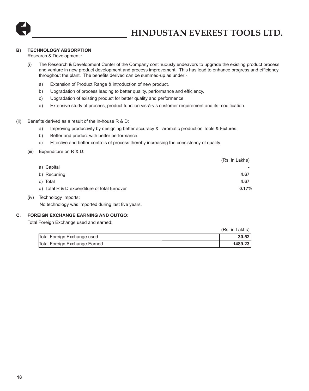

(Rs. in Lakhs)

# **B) TECHNOLOGY ABSORPTION**

#### Research & Development :

- (i) The Research & Development Center of the Company continuously endeavors to upgrade the existing product process and venture in new product development and process improvement. This has lead to enhance progress and efficiency throughout the plant. The benefits derived can be summed-up as under:
	- a) Extension of Product Range & introduction of new product.
	- b) Upgradation of process leading to better quality, performance and efficiency.
	- c) Upgradation of existing product for better quality and performence.
	- d) Extensive study of process, product function vis-à-vis customer requirement and its modification.
- (ii) Benefits derived as a result of the in-house R & D:
	- a) Improving productivity by designing better accuracy & aromatic production Tools & Fixtures.
	- b) Better and product with better performance.
	- c) Effective and better controls of process thereby increasing the consistency of quality.
	- (iii) Expenditure on R & D:

|      |                                              | (Rs. in Lakhs) |
|------|----------------------------------------------|----------------|
|      | a) Capital                                   |                |
|      | b) Recurring                                 | 4.67           |
|      | c) Total                                     | 4.67           |
|      | d) Total R & D expenditure of total turnover | 0.17%          |
| (iv) | Technology Imports:                          |                |

No technology was imported during last five years.

#### **C. FOREIGN EXCHANGE EARNING AND OUTGO:**

Total Foreign Exchange used and earned:

|                               | $1.00.11$ Lands |
|-------------------------------|-----------------|
| Total Foreign Exchange used   | 30.52           |
| Total Foreign Exchange Earned | 1489.23         |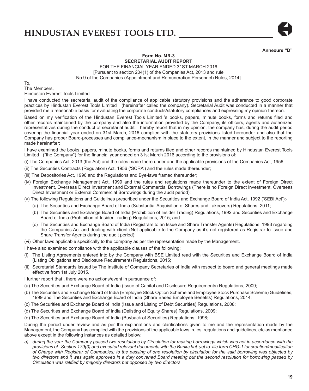**Annexure "D"**

# **Form No. MR-3**

**SECRETARIAL AUDIT REPORT** FOR THE FINANCIAL YEAR ENDED 31ST MARCH 2016 [Pursuant to section 204(1) of the Companies Act, 2013 and rule No.9 of the Companies (Appointment and Remuneration Personnel) Rules, 2014]

To,

The Members, Hindustan Everest Tools Limited

I have conducted the secretarial audit of the compliance of applicable statutory provisions and the adherence to good corporate practices by Hindustan Everest Tools Limited (hereinafter called the company). Secretarial Audit was conducted in a manner that provided me a reasonable basis for evaluating the corporate conducts/statutory compliances and expressing my opinion thereon.

Based on my verification of the Hindustan Everest Tools Limited 's books, papers, minute books, forms and returns filed and other records maintained by the company and also the information provided by the Company, its officers, agents and authorized representatives during the conduct of secretarial audit, I hereby report that in my opinion, the company has, during the audit period covering the financial year ended on 31st March, 2016 complied with the statutory provisions listed hereunder and also that the Company has proper Board-processes and compliance-mechanism in place to the extent, in the manner and subject to the reporting made hereinafter:

I have examined the books, papers, minute books, forms and returns filed and other records maintained by Hindustan Everest Tools Limited ("the Company") for the financial year ended on 31st March 2016 according to the provisions of:

- (i) The Companies Act, 2013 (the Act) and the rules made there under and the applicable provisions of the Companies Act, 1956;
- (ii) The Securities Contracts (Regulation) Act, 1956 ('SCRA') and the rules made thereunder;
- (iii) The Depositories Act, 1996 and the Regulations and Bye-laws framed thereunder;
- (iv) Foreign Exchange Management Act, 1999 and the rules and regulations made thereunder to the extent of Foreign Direct Investment, Overseas Direct Investment and External Commercial Borrowings (There is no Foreign Direct Investment, Overseas Direct Investment or External Commercial Borrowings during the audit period);
- (v) The following Regulations and Guidelines prescribed under the Securities and Exchange Board of India Act, 1992 ('SEBI Act'):-
	- (a) The Securities and Exchange Board of India (Substantial Acquisition of Shares and Takeovers) Regulations, 2011;
	- (b) The Securities and Exchange Board of India (Prohibition of Insider Trading) Regulations, 1992 and Securities and Exchange Board of India (Prohibition of Insider Trading) Regulations, 2015; and
	- (c) The Securities and Exchange Board of India (Registrars to an Issue and Share Transfer Agents) Regulations, 1993 regarding the Companies Act and dealing with client (Not applicable to the Company as it's not registered as Registrar to Issue and Share Transfer Agents during the audit period);
- (vi) Other laws applicable specifically to the company as per the representation made by the Management.

I have also examined compliance with the applicable clauses of the following:

- (i) The Listing Agreements entered into by the Company with BSE Limited read with the Securities and Exchange Board of India (Listing Obligations and Disclosure Requirement) Regulations, 2015;
- (ii) Secretarial Standards issued by The Institute of Company Secretaries of India with respect to board and general meetings made effective from 1st July 2015.
- I further report that , there were no actions/event in pursuance of:
- (a) The Securities and Exchange Board of India (Issue of Capital and Disclosure Requirements) Regulations, 2009;
- (b) The Securities and Exchange Board of India (Employee Stock Option Scheme and Employee Stock Purchase Scheme) Guidelines, 1999 and The Securities and Exchange Board of India (Share Based Employee Benefits) Regulations, 2014;
- (c) The Securities and Exchange Board of India (Issue and Listing of Debt Securities) Regulations, 2008;
- (d) The Securities and Exchange Board of India (Delisting of Equity Shares) Regulations, 2009;
- (e) The Securities and Exchange Board of India (Buyback of Securities) Regulations, 1998;

During the period under review and as per the explanations and clarifications given to me and the representation made by the Management, the Company has complied with the provisions of the applicable laws, rules, regulations and guidelines, etc as mentioned above except in the following instances as detailed below:

*a) during the year the Company passed two resolutions by Circulation for making borrowings which was not in accordance with the provisions of Section 179(3) and executed relevant documents with the Banks but yet to file form CHG-1 for creation/modification of Charge with Registrar of Companies; to the passing of one resolution by circulation for the said borrowing was objected by two directors and it was again approved in a duly convened Board meeting but the second resolution for borrowing passed by Circulation was ratified by majority directors but opposed by two directors.*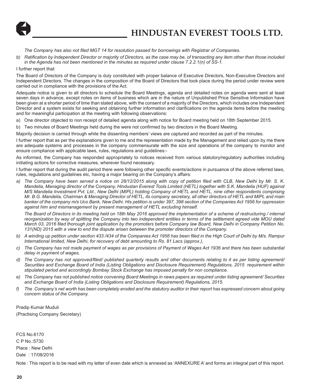

*The Company has also not filed MGT 14 for resolution passed for borrowings with Registrar of Companies.* 

*b) Ratification by Independent Director or majority of Directors, as the case may be, of transacting any item other than those included in the Agenda has not been mentioned in the minutes as required under clause 7.2.2.1(n) of SS-1.*

I further report that:

The Board of Directors of the Company is duly constituted with proper balance of Executive Directors, Non-Executive Directors and Independent Directors. The changes in the composition of the Board of Directors that took place during the period under review were carried out in compliance with the provisions of the Act.

Adequate notice is given to all directors to schedule the Board Meetings, agenda and detailed notes on agenda were sent at least seven days in advance, except notes on items of business which are in the nature of Unpublished Price Sensitive Information have been given at a shorter period of time than stated above, with the consent of a majority of the Directors, which includes one Independent Director and a system exists for seeking and obtaining further information and clarifications on the agenda items before the meeting and for meaningful participation at the meeting with following observations:

a) One director objected to non receipt of detailed agenda along with notice for Board meeting held on 18th September 2015.

b) Two minutes of Board Meetings held during the were not confirmed by two directors in the Board Meeting.

Majority decision is carried through while the dissenting members' views are captured and recorded as part of the minutes.

I further report that as per the explanations given to me and the representation made by the Management and relied upon by me there are adequate systems and processes in the company commensurate with the size and operations of the company to monitor and ensure compliance with applicable laws, rules, regulations and guidelines:-

As informed, the Company has responded appropriately to notices received from various statutory/regulatory authorities including initiating actions for corrective measures, wherever found necessary.

I further report that during the audit period there were following other specific events/actions in pursuance of the above referred laws. rules, regulations and guidelines etc, having a major bearing on the Company's affairs:

*a) The Company have been served a notice on 28/12/2015 along with copy of petition filed with CLB, New Delhi by Mr. S. K. Mandelia, Managing director of the Company, Hindustan Everest Tools Limited (HETL) together with S.K. Mandelia (HUF) against M/S Mandelia Investment Pvt. Ltd., New Delhi (MIPL) holding Company of HETL and HETL, nine other respondents comprising Mr. B.G. Mandelia, Chairman & Managing Director of HETL, its company secretary, all other directors of HETL and MIPL and main banker of the company m/s Uco Bank, New Delhi. His petition is under 397, 398 section of the Companies Act 1956 for oppression against him and mismanagement by present management of HETL excluding himself.* 

*The Board of Directors in its meeting held on 18th May 2016 approved the implementation of a scheme of restructuring / internal reorganization by way of splitting the Company into two independent entities in terms of the settlement agreed vide MOU dated March 03, 2016 filed thorough joint application by the promoters before Company law Board, New Delhi in Company Petition No. 131(ND) 2015 with a view to end the dispute arisen between the promoter directors of the Company.* 

- *b) A winding up petition under section 433 /434 of the Companies Act 1956 has been filed in the High Court of Delhi by M/s. Rampur International limited, New Delhi, for recovery of debt amounting to Rs. 81 Lacs (approx.),*
- *c) The Company has not made payment of wages as per provisions of Payment of Wages Act 1936 and there has been substantial delay in payment of wages,*
- *d) The Company has not approved/filed/ published quarterly results and other documents relating to it as per listing agreement/ Securities and Exchange Board of India (Listing Obligations and Disclosure Requirement) Regulations, 2015 requirement within stipulated period and accordingly Bombay Stock Exchange has imposed penalty for non compliance.*
- *e) The Company has not published notice convening Board Meetings in news papers as required under listing agreement/ Securities and Exchange Board of India (Listing Obligations and Disclosure Requirement) Regulations, 2015.*
- *f) The Company's net worth has been completely eroded and the statutory auditor in their report has expressed concern about going concern status of the Company.*

Pradip Kumar Muduli (Practising Company Secretary)

FCS No.6170 C P No.:5730 Place : New Delhi Date : 17/08/2016

Note : This report is to be read with my letter of even date which is annexed as 'ANNEXURE A' and forms an integral part of this report.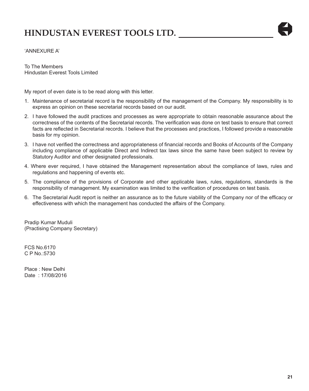# 'ANNEXURE A'

To The Members Hindustan Everest Tools Limited

My report of even date is to be read along with this letter.

- 1. Maintenance of secretarial record is the responsibility of the management of the Company. My responsibility is to express an opinion on these secretarial records based on our audit.
- 2. I have followed the audit practices and processes as were appropriate to obtain reasonable assurance about the correctness of the contents of the Secretarial records. The verification was done on test basis to ensure that correct facts are reflected in Secretarial records. I believe that the processes and practices, I followed provide a reasonable basis for my opinion.
- 3. I have not verified the correctness and appropriateness of financial records and Books of Accounts of the Company including compliance of applicable Direct and Indirect tax laws since the same have been subject to review by Statutory Auditor and other designated professionals.
- 4. Where ever required, I have obtained the Management representation about the compliance of laws, rules and regulations and happening of events etc.
- 5. The compliance of the provisions of Corporate and other applicable laws, rules, regulations, standards is the responsibility of management. My examination was limited to the verification of procedures on test basis.
- 6. The Secretarial Audit report is neither an assurance as to the future viability of the Company nor of the efficacy or effectiveness with which the management has conducted the affairs of the Company.

Pradip Kumar Muduli (Practising Company Secretary)

FCS No.6170 C P No.:5730

Place : New Delhi Date : 17/08/2016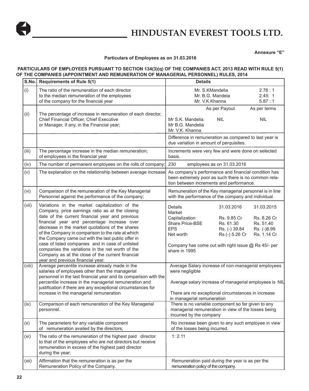

**Annexure "E"**

## **Particulars of Employees as on 31.03.2016**

# **PARTICULARS OF EMPLOYEES PURSUANT TO SECTION 134(3)(q) OF THE COMPANIES ACT, 2013 READ WITH RULE 5(1) OF THE COMPANIES (APPOINTMENT AND REMUNERATION OF MANAGERIAL PERSONNEL) RULES, 2014**

|        | S.No. Requirements of Rule 5(1)                                                                                                                                                                                                                                                                                                                                                                                                                                                                                                                                    | <b>Details</b>                                                                                                                                                                                                                                                                                                  |
|--------|--------------------------------------------------------------------------------------------------------------------------------------------------------------------------------------------------------------------------------------------------------------------------------------------------------------------------------------------------------------------------------------------------------------------------------------------------------------------------------------------------------------------------------------------------------------------|-----------------------------------------------------------------------------------------------------------------------------------------------------------------------------------------------------------------------------------------------------------------------------------------------------------------|
| (i)    | The ratio of the remuneration of each director<br>to the median remuneration of the employees<br>of the company for the financial year                                                                                                                                                                                                                                                                                                                                                                                                                             | Mr. S.KMandelia<br>2.76:1<br>Mr. B.G. Mandeia<br>2.45:1<br>Mr. V.K.Khanna<br>5.87:1                                                                                                                                                                                                                             |
| (ii)   | The percentage of increase in remuneration of each director,<br>Chief Financial Officer, Chief Executive<br>or Manager, if any, in the Financial year;                                                                                                                                                                                                                                                                                                                                                                                                             | As per Payout<br>As per terms<br><b>NIL</b><br>Mr S.K. Mandelia.<br><b>NIL</b><br>Mr B.G. Mandelia<br>Mr. V.K. Khanna                                                                                                                                                                                           |
|        |                                                                                                                                                                                                                                                                                                                                                                                                                                                                                                                                                                    | Difference in remuneration as compared to last year is<br>due variation in amount of perquisites.                                                                                                                                                                                                               |
| (iii)  | The percentage increase in the median remuneration;<br>of employees in the financial year                                                                                                                                                                                                                                                                                                                                                                                                                                                                          | Increments were very few and were done on selected<br>basis.                                                                                                                                                                                                                                                    |
| (iv)   | The number of permanent employees on the rolls of company;                                                                                                                                                                                                                                                                                                                                                                                                                                                                                                         | 230<br>employees as on 31.03.2016                                                                                                                                                                                                                                                                               |
| (v)    | The explanation on the relationship between average increase                                                                                                                                                                                                                                                                                                                                                                                                                                                                                                       | As company's performance and financial condition has<br>been extremely poor as such there is no common rela-<br>tion between increments and performance.                                                                                                                                                        |
| (vi)   | Comparison of the remuneration of the Key Managerial<br>Personnel against the performance of the company;                                                                                                                                                                                                                                                                                                                                                                                                                                                          | Remuneration of the Key managerial personnel is in line<br>with the performance of the company and individual.                                                                                                                                                                                                  |
| (vii)  | Variations in the market capitalization of the<br>Company, price earnings ratio as at the closing<br>date of the current financial year and previous<br>financial year and percentage increase over<br>decrease in the market quotations of the shares<br>of the Company in comparison to the rate at which<br>the Company came out with the last public offer in<br>case of listed companies and in case of unlisted<br>companies the variations in the net worth of the<br>Company as at the close of the current financial<br>year and previous financial year. | Details<br>31.03.2016<br>31.03.2015<br>Market<br>Capitalization<br>Rs. 9.85 Cr<br>Rs. 8.26 Cr<br>Share Price-BSE<br>Rs. 61.30<br>Rs. 51.40<br><b>EPS</b><br>Rs. (-) 39.84<br>Rs (-)8.99<br>Net worth<br>Rs.(-) 5.26 Cr<br>Rs. 1.14 Cr<br>Company has come out with right issue $@$ Rs 45/- per<br>share in 1995 |
| (viii) | Average percentile increase already made in the<br>salaries of employees other than the managerial<br>personnel in the last financial year and its comparison with the<br>percentile increase in the managerial remuneration and<br>justification if there are any exceptional circumstances for<br>increase in the managerial remuneration                                                                                                                                                                                                                        | Average Salary increase of non-managerial employees<br>were negligible<br>Average salary increase of managerial employees is NIL<br>There are no exceptional circumstances in increase<br>in managerial remuneration                                                                                            |
| (ix)   | Comparison of each remuneration of the Key Managerial<br>personnel.                                                                                                                                                                                                                                                                                                                                                                                                                                                                                                | There is no variable component so far given to any<br>managerial remuneration in view of the losses being<br>incurred by the company                                                                                                                                                                            |
| (x)    | The parameters for any variable component<br>of remuneration availed by the directors;                                                                                                                                                                                                                                                                                                                                                                                                                                                                             | No increase been given to any such employee in view<br>of the losses being incurred.                                                                                                                                                                                                                            |
| (xi)   | The ratio of the remuneration of the highest paid director<br>to that of the employees who are not directors but receive<br>remuneration in excess of the highest paid director<br>during the year;                                                                                                                                                                                                                                                                                                                                                                | 1: 2.11                                                                                                                                                                                                                                                                                                         |
| (xii)  | Affirmation that the remuneration is as per the<br>Remuneration Policy of the Company.                                                                                                                                                                                                                                                                                                                                                                                                                                                                             | Remuneration paid during the year is as per the<br>remuneration policy of the company.                                                                                                                                                                                                                          |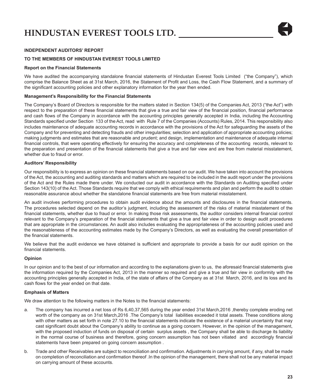# **INDEPENDENT AUDITORS' REPORT**

# **TO THE MEMBERS OF HINDUSTAN EVEREST TOOLS LIMITED**

#### **Report on the Financial Statements**

We have audited the accompanying standalone financial statements of Hindustan Everest Tools Limited ("the Company"), which comprise the Balance Sheet as at 31st March, 2016, the Statement of Profit and Loss, the Cash Flow Statement, and a summary of the significant accounting policies and other explanatory information for the year then ended.

#### **Management's Responsibility for the Financial Statements**

The Company's Board of Directors is responsible for the matters stated in Section 134(5) of the Companies Act, 2013 ("the Act") with respect to the preparation of these financial statements that give a true and fair view of the financial position, financial performance and cash flows of the Company in accordance with the accounting principles generally accepted in India, including the Accounting Standards specified under Section 133 of the Act, read with Rule 7 of the Companies (Accounts) Rules, 2014. This responsibility also includes maintenance of adequate accounting records in accordance with the provisions of the Act for safeguarding the assets of the Company and for preventing and detecting frauds and other irregularities; selection and application of appropriate accounting policies; making judgments and estimates that are reasonable and prudent; and design, implementation and maintenance of adequate internal financial controls, that were operating effectively for ensuring the accuracy and completeness of the accounting records, relevant to the preparation and presentation of the financial statements that give a true and fair view and are free from material misstatement. whether due to fraud or error.

## **Auditors' Responsibility**

Our responsibility is to express an opinion on these financial statements based on our audit. We have taken into account the provisions of the Act, the accounting and auditing standards and matters which are required to be included in the audit report under the provisions of the Act and the Rules made there under. We conducted our audit in accordance with the Standards on Auditing specified under Section 143(10) of the Act. Those Standards require that we comply with ethical requirements and plan and perform the audit to obtain reasonable assurance about whether the standalone financial statements are free from material misstatement.

An audit involves performing procedures to obtain audit evidence about the amounts and disclosures in the financial statements. The procedures selected depend on the auditor's judgment, including the assessment of the risks of material misstatement of the financial statements, whether due to fraud or error. In making those risk assessments, the auditor considers internal financial control relevant to the Company's preparation of the financial statements that give a true and fair view in order to design audit procedures that are appropriate in the circumstances. An audit also includes evaluating the appropriateness of the accounting policies used and the reasonableness of the accounting estimates made by the Company's Directors, as well as evaluating the overall presentation of the financial statements.

We believe that the audit evidence we have obtained is sufficient and appropriate to provide a basis for our audit opinion on the financial statements.

#### **Opinion**

In our opinion and to the best of our information and according to the explanations given to us, the aforesaid financial statements give the information required by the Companies Act, 2013 in the manner so required and give a true and fair view in conformity with the accounting principles generally accepted in India, of the state of affairs of the Company as at 31st March, 2016, and its loss and its cash flows for the year ended on that date.

#### **Emphasis of Matters**

We draw attention to the following matters in the Notes to the financial statements:

- a. The company has incurred a net loss of Rs 6,40,37,565 during the year ended 31st March,2016 ,thereby complete eroding net worth of the company as on 31st March,2016 .The Company's total liabilities exceeded it total assets. These conditions along with other matters as set forth in note 27.10 to the financial statements indicate the existence of a material uncertainty that may cast significant doubt about the Company's ability to continue as a going concern. However, in the opinion of the management, with the proposed induction of funds on disposal of certain surplus assets , the Company shall be able to discharge its liability in the normal course of business and therefore, going concern assumption has not been vitiated and accordingly financial statements have been prepared on going concern assumption .
- b. Trade and other Receivables are subject to reconciliation and confirmation. Adjustments in carrying amount, if any, shall be made on completion of reconciliation and confirmation thereof .In the opinion of the management, there shall not be any material impact on carrying amount of these accounts.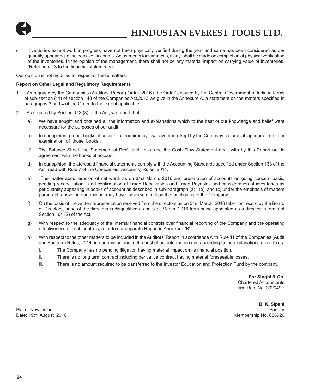

c. Inventories except work in progress have not been physically verified during the year and same has been considered as per quantity appearing in the books of accounts .Adjustments for variances, if any, shall be made on completion of physical verification of the inventories. In the opinion of the management, there shall not be any material impact on carrying value of Inventories. (Refer note 13 to the financial statements)

Our opinion is not modified in respect of these matters.

## **Report on Other Legal and Regulatory Requirements**

- 1. As required by the Companies (Auditors' Report) Order, 2016 ('the Order'), issued by the Central Government of India in terms of sub-section (11) of section 143 of the Companies Act,2013 we give in the Annexure A, a statement on the matters specified in paragraphs 3 and 4 of the Order, to the extent applicable.
- 2. As required by Section 143 (3) of the Act, we report that:
	- a) We have sought and obtained all the information and explanations which to the best of our knowledge and belief were necessary for the purposes of our audit.
	- b) In our opinion, proper books of account as required by law have been kept by the Company so far as it appears from our examination of those books .
	- c) The Balance Sheet, the Statement of Profit and Loss, and the Cash Flow Statement dealt with by this Report are in agreement with the books of account.
	- d) In our opinion, the aforesaid financial statements comply with the Accounting Standards specified under Section 133 of the Act, read with Rule 7 of the Companies (Accounts) Rules, 2014.
	- e) The matter about erosion of net worth as on 31st March, 2016 and preparation of accounts on going concern basis, pending reconciliation and confirmation of Trade Receivables and Trade Payables and consideration of inventories as per quantity appearing in books of account as described in sub-paragraph (a) , (b) and (c) under the emphasis of matters paragraph above, in our opinion, may have adverse effect on the functioning of the Company.
	- f) On the basis of the written representation received from the directors as on 31st March, 2016 taken on record by the Board of Directors, none of the directors is disqualified as on 31st March, 2016 from being appointed as a director in terms of Section 164 (2) of the Act.
	- g) With respect to the adequacy of the internal financial controls over financial reporting of the Company and the operating effectiveness of such controls, refer to our separate Report in Annexure "B".
	- h) With respect to the other matters to be included in the Auditors' Report in accordance with Rule 11 of the Companies (Audit and Auditors) Rules, 2014, in our opinion and to the best of our information and according to the explanations given to us:
		- i. The Company has no pending litigation having material impact on its financial position.
		- ii. There is no long term contract including derivative contract having material foreseeable losses.
		- iii. There is no amount required to be transferred to the Investor Education and Protection Fund by the company.

**For Singhi & Co.** Chartered Accountants Firm Reg. No. 302049E

Place: New Delhi Partner Partner Partner Partner Partner Partner Partner Partner Partner Partner Partner Partner Date: 19th August 2016 Membership No. 088926

**B. K. Sipani**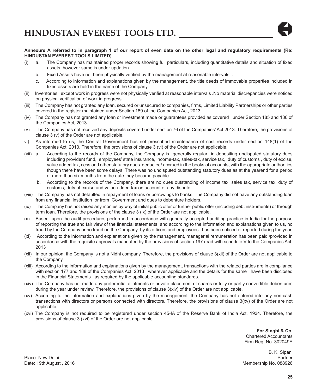

## **Annexure A referred to in paragraph 1 of our report of even date on the other legal and regulatory requirements (Re: HINDUSTAN EVEREST TOOLS LIMITED)**

- (i) a. The Company has maintained proper records showing full particulars, including quantitative details and situation of fixed assets, however same is under updation.
	- b. Fixed Assets have not been physically verified by the management at reasonable intervals. .
	- c. According to information and explanations given by the management, the title deeds of immovable properties included in fixed assets are held in the name of the Company.
- (ii) Inventories except work in progress were not physically verified at reasonable intervals .No material discrepancies were noticed on physical verification of work in progress.
- (iii) The Company has not granted any loan, secured or unsecured to companies, firms, Limited Liability Partnerships or other parties covered in the register maintained under Section 189 of the Companies Act, 2013.
- (iv) The Company has not granted any loan or investment made or guarantees provided as covered under Section 185 and 186 of the Companies Act, 2013.
- (v) The Company has not received any deposits covered under section 76 of the Companies' Act,2013. Therefore, the provisions of clause 3 (v) of the Order are not applicable.
- vi) As informed to us, the Central Government has not prescribed maintenance of cost records under section 148(1) of the Companies Act, 2013. Therefore, the provisions of clause 3 (vi) of the Order are not applicable.
- (vii) a. According to the records of the Company, the Company is generally regular in depositing undisputed statutory dues including provident fund, employees' state insurance, income-tax, sales-tax, service tax, duty of customs , duty of excise, value added tax, cess and other statutory dues deducted/ accrued in the books of accounts, with the appropriate authorities though there have been some delays. There was no undisputed outstanding statutory dues as at the yearend for a period of more than six months from the date they became payable.
	- b. According to the records of the Company, there are no dues outstanding of income tax, sales tax, service tax, duty of customs, duty of excise and value added tax on account of any dispute.
- (viii) The Company has not defaulted in repayment of loans or borrowings to banks. The Company did not have any outstanding loan from any financial institution or from Government and dues to debenture holders.
- (ix) The Company has not raised any monies by way of initial public offer or further public offer (including debt instruments) or through term loan. Therefore, the provisions of the clause 3 (ix) of the Order are not applicable.
- (x) Based upon the audit procedures performed in accordance with generally accepted auditing practice in India for the purpose of reporting the true and fair view of the financial statements and according to the information and explanations given to us, no fraud by the Company or no fraud on the Company by its officers and employees has been noticed or reported during the year.
- (xi) According to the information and explanations given by the management, managerial remuneration has been paid /provided in accordance with the requisite approvals mandated by the provisions of section 197 read with schedule V to the Companies Act, 2013
- (xii) In our opinion, the Company is not a Nidhi company. Therefore, the provisions of clause 3(xii) of the Order are not applicable to the Company.
- (xiii) According to the information and explanations given by the management, transactions with the related parties are in compliance with section 177 and 188 of the Companies Act, 2013 wherever applicable and the details for the same have been disclosed in the Financial Statements as required by the applicable accounting standards.
- (xiv) The Company has not made any preferential allotments or private placement of shares or fully or partly convertible debentures during the year under review. Therefore, the provisions of clause 3(xiv) of the Order are not applicable.
- (xv) According to the information and explanations given by the management, the Company has not entered into any non-cash transactions with directors or persons connected with directors. Therefore, the provisions of clause 3(xv) of the Order are not applicable.
- (xvi) The Company is not required to be registered under section 45-IA of the Reserve Bank of India Act, 1934. Therefore, the provisions of clause 3 (xvi) of the Order are not applicable.

**For Singhi & Co.** Chartered Accountants Firm Reg. No. 302049E

B. K. Sipani

Place: New Delhi Partner Partner Partner Partner Partner Partner Partner Partner Partner Partner Partner Partner Date: 19th August , 2016 Membership No. 088926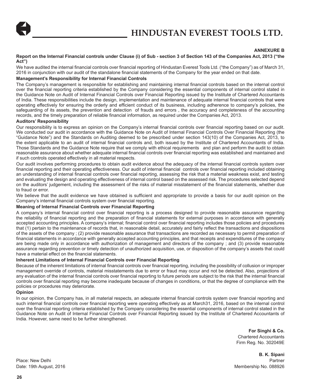

#### **ANNEXURE B**

#### **Report on the Internal Financial controls under Clause (i) of Sub - section 3 of Section 143 of the Companies Act, 2013 ("the Act")**

We have audited the internal financial controls over financial reporting of Hindustan Everest Tools Ltd. ("the Company") as of March 31, 2016 in conjunction with our audit of the standalone financial statements of the Company for the year ended on that date.

## **Management's Responsibility for Internal Financial Controls**

The Company's management is responsible for establishing and maintaining internal financial controls based on the internal control over the financial reporting criteria established by the Company considering the essential components of internal control stated in the Guidance Note on Audit of Internal Financial Controls over Financial Reporting issued by the Institute of Chartered Accountants of India. These responsibilities include the design, implementation and maintenance of adequate internal financial controls that were operating effectively for ensuring the orderly and efficient conduct of its business, including adherence to company's policies, the safeguarding of its assets, the prevention and detection of frauds and errors , the accuracy and completeness of the accounting records, and the timely preparation of reliable financial information, as required under the Companies Act, 2013.

## **Auditors' Responsibility**

Our responsibility is to express an opinion on the Company's internal financial controls over financial reporting based on our audit. We conducted our audit in accordance with the Guidance Note on Audit of Internal Financial Controls Over Financial Reporting (the "Guidance Note") and the Standards on Auditing deemed to be prescribed under section 143(10) of the Companies Act, 2013, to the extent applicable to an audit of internal financial controls and, both issued by the Institute of Chartered Accountants of India. Those Standards and the Guidance Note require that we comply with ethical requirements and plan and perform the audit to obtain reasonable assurance about whether adequate internal financial controls over financial reporting was established and maintained and if such controls operated effectively in all material respects.

Our audit involves performing procedures to obtain audit evidence about the adequacy of the internal financial controls system over financial reporting and their operating effectiveness. Our audit of internal financial controls over financial reporting included obtaining an understanding of internal financial controls over financial reporting, assessing the risk that a material weakness exist, and testing and evaluating the design and operating effectiveness of internal control based on the assessed risk. The procedures selected depend on the auditors' judgement, including the assessment of the risks of material misstatement of the financial statements, whether due to fraud or error.

We believe that the audit evidence we have obtained is sufficient and appropriate to provide a basis for our audit opinion on the Company's internal financial controls system over financial reporting.

#### **Meaning of Internal Financial Controls over Financial Reporting**

A company's internal financial control over financial reporting is a process designed to provide reasonable assurance regarding the reliability of financial reporting and the preparation of financial statements for external purposes in accordance with generally accepted accounting principles. A company's internal; financial control over financial reporting includes those policies and procedures that (1) pertain to the maintenance of records that, in reasonable detail, accurately and fairly reflect the transactions and dispositions of the assets of the company ; (2) provide reasonable assurance that transactions are recorded as necessary to permit preparation of financial statements in accordance with generally accepted accounting principles, and that receipts and expenditures of the company are being made only in accordance with authorization of management and directors of the company ; and (3) provide reasonable assurance regarding prevention or timely detection of unauthorized acquisition, use, or disposition of the company's assets that could have a material effect on the financial statements.

#### **Inherent Limitations of Internal Financial Controls over Financial Reporting**

Because of the inherent limitations of internal financial controls over financial reporting, including the possibility of collusion or improper management override of controls, material misstatements due to error or fraud may occur and not be detected. Also, projections of any evaluation of the internal financial controls over financial reporting to future periods are subject to the risk that the internal financial controls over financial reporting may become inadequate because of changes in conditions, or that the degree of compliance with the policies or procedures may deteriorate.

## **Opinion**

In our opinion, the Company has, in all material respects, an adequate internal financial controls system over financial reporting and such internal financial controls over financial reporting were operating effectively as at March31, 2016, based on the internal control over the financial reporting criteria established by the Company considering the essential components of internal control stated in the Guidance Note on Audit of Internal Financial Controls over Financial Reporting issued by the Institute of Chartered Accountants of India. However, same need to be further strengthened.

> **For Singhi & Co.** Chartered Accountants Firm Reg. No. 302049E

**B. K. Sipani** Place: New Delhi Partner New York Partner New York Partner New York Partner New York Partner New York Partner Date: 19th August, 2016 Membership No. 088926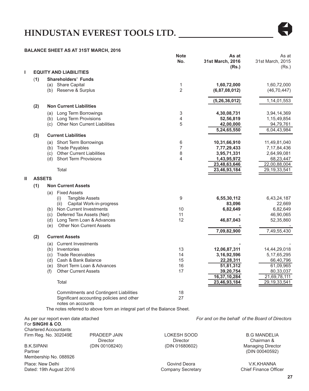

# **BALANCE SHEET AS AT 31ST MARCH, 2016**

|   |                                       |     |                                                                         | Note<br>No.    | As at<br>31st March, 2016<br>(Rs.)              | As at<br>31st March, 2015<br>(Rs.) |
|---|---------------------------------------|-----|-------------------------------------------------------------------------|----------------|-------------------------------------------------|------------------------------------|
| L |                                       |     | <b>EQUITY AND LIABILITIES</b>                                           |                |                                                 |                                    |
|   | (1)                                   |     | <b>Shareholders' Funds</b>                                              |                |                                                 |                                    |
|   |                                       |     | (a) Share Capital                                                       | $\mathbf{1}$   | 1,60,72,000                                     | 1,60,72,000                        |
|   |                                       |     | (b) Reserve & Surplus                                                   | $\overline{2}$ | (6,87,08,012)                                   | (46, 70, 447)                      |
|   |                                       |     | <b>Non Current Liabilities</b>                                          |                | (5, 26, 36, 012)                                | 1,14,01,553                        |
|   | (2)                                   |     |                                                                         |                |                                                 |                                    |
|   |                                       |     | (a) Long Term Borrowings                                                | 3              | 4,30,08,731                                     | 3,94,14,369                        |
|   |                                       |     | (b) Long Term Provisions                                                | 4              | 52,56,819                                       | 1,15,49,854                        |
|   |                                       |     | (c) Other Non Current Liabilities                                       | 5              | 42,00,000                                       | 94,79,761                          |
|   | (3)                                   |     | <b>Current Liabilities</b>                                              |                | 5,24,65,550                                     | 6,04,43,984                        |
|   |                                       |     | (a) Short Term Borrowings                                               | 6              | 10,31,66,910                                    | 11,49,81,040                       |
|   |                                       |     | (b) Trade Payables                                                      | 7              | 7,77,29,433                                     | 7, 17, 84, 436                     |
|   |                                       |     | (c) Other Current Liabilities                                           | 8              | 3,95,71,331                                     | 2,64,99,081                        |
|   |                                       |     | (d) Short Term Provisions                                               | 4              | 1,43,95,972                                     | 68,23,447                          |
|   |                                       |     |                                                                         |                | 23,48,63,646                                    | 22,00,88,004                       |
|   |                                       |     | Total                                                                   |                | 23,46,93,184                                    | 29, 19, 33, 541                    |
| Ш | <b>ASSETS</b>                         |     |                                                                         |                |                                                 |                                    |
|   | (1)                                   |     | <b>Non Current Assets</b>                                               |                |                                                 |                                    |
|   |                                       |     | (a) Fixed Assets                                                        |                |                                                 |                                    |
|   |                                       |     | <b>Tangible Assets</b><br>(i)                                           | 9              | 6,55,30,112                                     | 6,43,24,187                        |
|   |                                       |     | Capital Work-in-progress<br>(ii)                                        |                | 83,096                                          | 22,669                             |
|   |                                       |     | (b) Non Current Investments                                             | 10             | 6,82,649                                        | 6,82,649                           |
|   |                                       |     | (c) Deferred Tax Assets (Net)                                           | 11             |                                                 | 46,90,065                          |
|   |                                       |     | (d) Long Term Loan & Advances<br>(e) Other Non Current Assets           | 12             | 46,87,043                                       | 52,35,860                          |
|   |                                       |     |                                                                         |                | 7,09,82,900                                     | 7,49,55,430                        |
|   | (2)                                   |     | <b>Current Assets</b>                                                   |                |                                                 |                                    |
|   |                                       |     | (a) Current Investments                                                 |                |                                                 |                                    |
|   |                                       |     | (b) Inventories                                                         | 13             | 12,06,87,311                                    | 14,44,29,018                       |
|   |                                       |     | (c) Trade Receivables                                                   | 14<br>15       | 3, 16, 92, 596                                  | 5, 17, 65, 295                     |
|   |                                       |     | (d) Cash & Bank Balance<br>(e) Short Term Loan & Advances               | 16             | 22,28,311<br>51,81,312                          | 66,40,796<br>61,09,965             |
|   |                                       | (f) | <b>Other Current Assets</b>                                             | 17             | 39,20,754                                       | 80,33,037                          |
|   |                                       |     |                                                                         |                | 16,37,10,284                                    | 21,69,78,111                       |
|   |                                       |     | Total                                                                   |                | 23,46,93,184                                    | 29, 19, 33, 541                    |
|   |                                       |     | <b>Commitments and Contingent Liabilities</b>                           | 18             |                                                 |                                    |
|   |                                       |     | Significant accounting policies and other                               | 27             |                                                 |                                    |
|   |                                       |     | notes on accounts                                                       |                |                                                 |                                    |
|   |                                       |     | The notes referred to above form an integral part of the Balance Sheet. |                |                                                 |                                    |
|   | $\Gamma_{\alpha\beta}$ CINICLII 9 CO. |     | As per our report even date attached                                    |                | For and on the behalf of the Board of Directors |                                    |

For **SINGHI & CO**. Chartered Accountants Firm Reg. No. 302049E PRADEEP JAIN LOKESH SOOD B.G MANDELIA<br>Director B.G MANDELIA Director Director Benefor Schairman &

B.K.SIPANI (DIN 00108240) (DIN 01680602) Managing Director Membership No. 088926 Place: New Delhi **Place: New Delhi Company Secretary** Covind Deora **V.K.KHANNA**<br>
Company Secretary Chief Finance Officer Company Secretary Chief Finance Officer Dated: 19th August 2016

Director Director Director Chairman &<br>
(DIN 00108240) (DIN 01680602) CON Managing Director

 $(DIN 00040592)$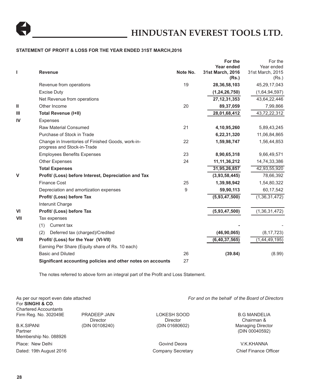

# **STATEMENT OF PROFIT & LOSS FOR THE YEAR ENDED 31ST MARCH,2016**

| ı    | Revenue                                                                          | Note No. | For the<br>Year ended<br>31st March, 2016<br>(Rs.) | For the<br>Year ended<br>31st March, 2015<br>(Rs.) |
|------|----------------------------------------------------------------------------------|----------|----------------------------------------------------|----------------------------------------------------|
|      | Revenue from operations                                                          | 19       | 28,36,58,103                                       | 45,29,17,043                                       |
|      | <b>Excise Duty</b>                                                               |          | (1, 24, 26, 750)                                   | (1,64,94,597)                                      |
|      | Net Revenue from operations                                                      |          | 27, 12, 31, 353                                    | 43,64,22,446                                       |
| Ш    | Other Income                                                                     | 20       | 89,37,059                                          | 7,99,866                                           |
| Ш    | <b>Total Revenue (I+II)</b>                                                      |          | 28,01,68,412                                       | 43,72,22,312                                       |
| IV   | <b>Expenses</b>                                                                  |          |                                                    |                                                    |
|      | Raw Material Consumed                                                            | 21       | 4,10,95,260                                        | 5,89,43,245                                        |
|      | Purchase of Stock in Trade                                                       |          | 6,22,31,320                                        | 11,06,84,865                                       |
|      | Change in Inventories of Finished Goods, work-in-<br>progress and Stock-in-Trade | 22       | 1,59,98,747                                        | 1,56,44,853                                        |
|      | <b>Employees Benefits Expenses</b>                                               | 23       | 8,90,65,318                                        | 9,66,49,571                                        |
|      | Other Expenses                                                                   | 24       | 11, 11, 36, 212                                    | 14,74,33,386                                       |
|      | <b>Total Expenses</b>                                                            |          | 31,95,26,857                                       | 42,93,55,920                                       |
| v    | Profit/ (Loss) before Interest, Depreciation and Tax                             |          | (3,93,58,445)                                      | 78,66,392                                          |
|      | Finance Cost                                                                     | 25       | 1,39,98,942                                        | 1,54,80,322                                        |
|      | Depreciation and amortization expenses                                           | 9        | 59,90,113                                          | 60,17,542                                          |
|      | Profit/ (Loss) before Tax<br>Interunit Charge                                    |          | (5,93,47,500)                                      | (1,36,31,472)                                      |
| VI   | Profit/ (Loss) before Tax                                                        |          | (5,93,47,500)                                      | (1,36,31,472)                                      |
| VII  | Tax expenses                                                                     |          |                                                    |                                                    |
|      | Current tax<br>(1)                                                               |          |                                                    |                                                    |
|      | Deferred tax (charged)/Credited<br>(2)                                           |          | (46, 90, 065)                                      | (8, 17, 723)                                       |
| VIII | Profit/ (Loss) for the Year (VI-VII)                                             |          | (6, 40, 37, 565)                                   | (1,44,49,195)                                      |
|      | Earning Per Share (Equity share of Rs. 10 each)                                  |          |                                                    |                                                    |
|      | <b>Basic and Diluted</b>                                                         | 26       | (39.84)                                            | (8.99)                                             |
|      | Significant accounting policies and other notes on accounts                      | 27       |                                                    |                                                    |

The notes referred to above form an integral part of the Profit and Loss Statement.

As per our report even date attached *For and on the behalf of the Board of Directors*  For **SINGHI & CO**. Chartered Accountants Firm Reg. No. 302049E PRADEEP JAIN LOKESH SOOD B.G MANDELIA Director Director Director Chairman &<br>
DIN 0108240) (DIN 01680602) CON 00108240 B.K.SIPANI (DIN 00108240) (DIN 01680602) Managing Director  $(DIN 00040592)$ Membership No. 088926 Place: New Delhi Goving The Covince of Govind Deora Covince of Microsoft W.K.KHANNA Dated: 19th August 2016 Company Secretary Chief Finance Officer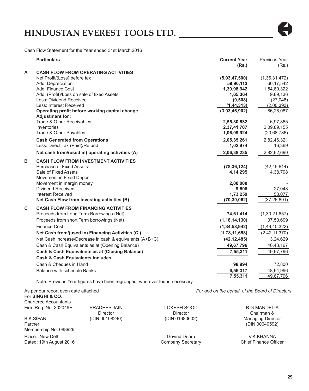Cash Flow Statement for the Year ended 31st March,2016

|   | <b>Particulars</b>                                       | <b>Current Year</b>        | Previous Year                 |
|---|----------------------------------------------------------|----------------------------|-------------------------------|
|   |                                                          | (Rs.)                      | (Rs.)                         |
| A | <b>CASH FLOW FROM OPERATING ACTIVITIES</b>               |                            |                               |
|   | Net Profit/(Loss) before tax<br>Add: Depreciation        | (5,93,47,500)<br>59,90,113 | (1, 36, 31, 472)<br>60,17,542 |
|   | Add: Finance Cost                                        | 1,39,98,942                | 1,54,80,322                   |
|   | Add: (Profit)/Loss on sale of fixed Assets               | 1,65,364                   | 9,89,136                      |
|   | Less: Dividend Received                                  | (9,508)                    | (27, 048)                     |
|   | Less: Interest Received                                  | (1, 44, 313)               | (2,00,393)                    |
|   | Operating profit before working capital change           | (3,93,46,902)              | 86,28,087                     |
|   | Adjustment for:                                          |                            |                               |
|   | Trade & Other Receivables                                | 2,55,30,532                | 6,97,865                      |
|   | Inventories                                              | 2,37,41,707                | 2,09,89,155                   |
|   | Trade & Other Payables                                   | 1,06,09,924                | (20, 68, 786)                 |
|   | <b>Cash Generated from Operations</b>                    | 2,05,35,261                | 2,82,46,321                   |
|   | Less: Direct Tax (Paid)/Refund                           | 1,02,974                   | 16,369                        |
|   | Net cash from/(used in) operating activities (A)         | 2,06,38,235                | 2,82,62,690                   |
| в | <b>CASH FLOW FROM INVESTMENT ACTIVITIES</b>              |                            |                               |
|   | Purchase of Fixed Assets                                 | (78, 36, 124)              | (42, 45, 614)                 |
|   | Sale of Fixed Assets                                     | 4,14,295                   | 4,38,798                      |
|   | Movement in Fixed Deposit                                |                            |                               |
|   | Movement in margin money                                 | 2,00,000                   |                               |
|   | Dividend Received                                        | 9,508                      | 27,048                        |
|   | <b>Interest Received</b>                                 | 1,73,259                   | 53,077                        |
|   | Net Cash Flow from investing activities (B)              | (70, 39, 062)              | (37, 26, 691)                 |
| C | <b>CASH FLOW FROM FINANCING ACTIVITIES</b>               |                            |                               |
|   | Proceeds from Long Term Borrowings (Net)                 | 74,61,414                  | (1, 30, 21, 657)              |
|   | Proceeds from short Term borrowings (Net)                | (1, 18, 14, 130)           | 37,50,609                     |
|   | Finance Cost                                             | (1, 34, 58, 942)           | (1,49,40,322)                 |
|   | Net Cash from/(used in) Financing Activities (C)         | (1,78,11,658)              | (2,42,11,370)                 |
|   | Net Cash increase/Decrease in cash & equivalents (A+B+C) | (42, 12, 485)              | 3,24,629                      |
|   | Cash & Cash Equivalents as at (Opening Balance)          | 49,67,796                  | 46,43,167                     |
|   | Cash & Cash Equivalents as at (Closing Balance)          | 7,55,311                   | 49,67,796                     |
|   | <b>Cash &amp; Cash Equivalents includes</b>              |                            |                               |
|   | Cash & Cheques in Hand                                   | 98,994                     | 72,800                        |
|   | Balance with schedule Banks                              | 6,56,317                   | 48,94,996                     |
|   |                                                          | 7,55,311                   | 49,67,796                     |
|   |                                                          |                            |                               |

Note: Previous Year figures have been regrouped, wherever found necessary

For and on the behalf of the Board of Directors

| As per our report even date attached<br>For SINGHI & CO.<br><b>Chartered Accountants</b> |                |                   | For and on the behalf of the Board of Direct |
|------------------------------------------------------------------------------------------|----------------|-------------------|----------------------------------------------|
| Firm Reg. No. 302049E                                                                    | PRADEEP JAIN   | LOKESH SOOD       | <b>B.G MANDELIA</b>                          |
|                                                                                          | Director       | Director          | Chairman &                                   |
| <b>B.K.SIPANI</b><br>Partner<br>Membership No. 088926                                    | (DIN 00108240) | (DIN 01680602)    | <b>Managing Director</b><br>(DIN 00040592)   |
| Place: New Delhi                                                                         |                | Govind Deora      | V.K.KHANNA                                   |
| Dated: 19th August 2016                                                                  |                | Company Secretary | <b>Chief Finance Officer</b>                 |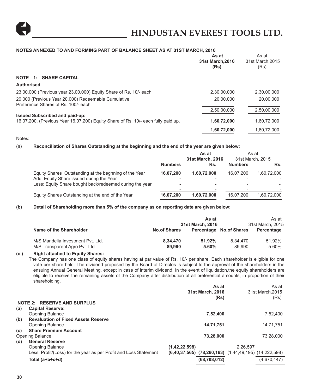

| NOTES ANNEXED TO AND FORMING PART OF BALANCE SHEET AS AT 31ST MARCH, 2016                   |                          |                          |
|---------------------------------------------------------------------------------------------|--------------------------|--------------------------|
|                                                                                             | As at                    | As at                    |
|                                                                                             | 31st March, 2016<br>(Rs) | 31st March, 2015<br>(Rs) |
| NOTE 1: SHARE CAPITAL                                                                       |                          |                          |
| <b>Authorised</b>                                                                           |                          |                          |
| 23,00,000 (Previous year 23,00,000) Equity Share of Rs. 10/- each                           | 2,30,00,000              | 2,30,00,000              |
| 20,000 (Previous Year 20,000) Redeemable Cumulative<br>Preference Shares of Rs. 100/- each. | 20.00.000                | 20.00.000                |
|                                                                                             | 2.50.00.000              | 2,50,00,000              |
| Issued Subscribed and paid-up:                                                              |                          |                          |
| 16,07,200. (Previous Year 16,07,200) Equity Share of Rs. 10/- each fully paid up.           | 1,60,72,000              | 1.60.72.000              |
|                                                                                             | 1,60,72,000              | 1,60,72,000              |

# Notes:

## (a) **Reconciliation of Shares Outstanding at the beginning and the end of the year are given below:**

|                                                         |                | As at<br>31st March, 2016 |                | As at<br>31st March, 2015 |
|---------------------------------------------------------|----------------|---------------------------|----------------|---------------------------|
|                                                         | <b>Numbers</b> | Rs.                       | <b>Numbers</b> | Rs.                       |
| Equity Shares Outstanding at the begnning of the Year   | 16.07.200      | 1,60,72,000               | 16.07.200      | 1.60.72.000               |
| Add: Equity Share issued during the Year                |                |                           |                | $\overline{\phantom{0}}$  |
| Less: Equity Share bought back/redeemed during the year |                |                           |                |                           |
|                                                         |                |                           |                |                           |
| Equity Shares Outstanding at the end of the Year        | 16.07.200      | 1,60,72,000               | 16.07.200      | 1,60,72,000               |

#### **(b) Detail of Shareholding more than 5% of the company as on reporting date are given below:**

|                                                                     |                     | As at<br>31st March, 2016 |                         | As at<br>31st March, 2015 |
|---------------------------------------------------------------------|---------------------|---------------------------|-------------------------|---------------------------|
| Name of the Shareholder                                             | <b>No.of Shares</b> |                           | Percentage No.of Shares | Percentage                |
| M/S Mandelia Investment Pvt. Ltd.<br>M/S Transparent Agro Pvt. Ltd. | 8.34.470<br>89,990  | 51.92%<br>5.60%           | 8.34.470<br>89.990      | 51.92%<br>5.60%           |

# **(c ) Right attached to Equity Shares:**

The Company has one class of equity shares having at par value of Rs. 10/- per share. Each shareholder is eligible for one vote per share held. The dividend proposed by the Board of Directos is subject to the approval of the shareholders in the ensuing Annual General Meeting, except in case of interim dividend. In the event of liquidation,the equity shareholders are eligible to receive the remaining assets of the Company after distribution of all preferential amounts, in proportion of their shareholding.

|                                                                   | As at                                                         | As at           |
|-------------------------------------------------------------------|---------------------------------------------------------------|-----------------|
|                                                                   | 31st March, 2016                                              | 31st March.2015 |
|                                                                   | (Rs)                                                          | (Rs)            |
| <b>NOTE 2: RESERVE AND SURPLUS</b>                                |                                                               |                 |
| <b>Capital Reserve:</b><br>(a)                                    |                                                               |                 |
| Opening Balance                                                   | 7,52,400                                                      | 7,52,400        |
| <b>Revaluation of Fixed Assets Reserve</b><br>(b)                 |                                                               |                 |
| Opening Balance                                                   | 14,71,751                                                     | 14,71,751       |
| <b>Share Premium Account</b><br>(c)                               |                                                               |                 |
| Opening Balance                                                   | 73.28.000                                                     | 73.28.000       |
| <b>General Reserve</b><br>(d)                                     |                                                               |                 |
| Opening Balance                                                   | (1,42,22,598)                                                 | 2,26,597        |
| Less: Profit/(Loss) for the year as per Profit and Loss Statement | $(6,40,37,565)$ $(78,260,163)$ $(1,44,49,195)$ $(14,222,598)$ |                 |
| Total (a+b+c+d)                                                   | (68, 708, 012)                                                | (4.670.447)     |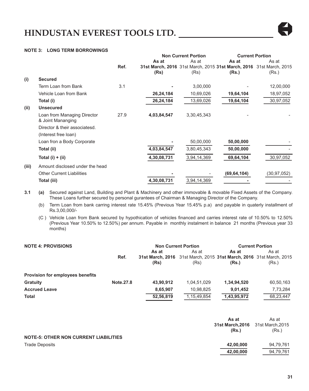

# **NOTE 3: LONG TERM BORROWINGS**

|       |                                  |      |             | <b>Non Current Portion</b> |                                                                     | <b>Current Portion</b> |
|-------|----------------------------------|------|-------------|----------------------------|---------------------------------------------------------------------|------------------------|
|       |                                  |      | As at       | As at                      | As at                                                               | As at                  |
|       |                                  | Ref. |             |                            | 31st March, 2016 31st March, 2015 31st March, 2016 31st March, 2015 |                        |
|       |                                  |      | (Rs)        | (Rs)                       | (Rs.)                                                               | (Rs.)                  |
| (i)   | <b>Secured</b>                   |      |             |                            |                                                                     |                        |
|       | Term Loan from Bank              | 3.1  |             | 3,00,000                   |                                                                     | 12,00,000              |
|       | Vehicle Loan from Bank           |      | 26,24,184   | 10,69,026                  | 19,64,104                                                           | 18,97,052              |
|       | Total (i)                        |      | 26,24,184   | 13,69,026                  | 19,64,104                                                           | 30,97,052              |
| (ii)  | Unsecured                        |      |             |                            |                                                                     |                        |
|       | Loan from Managing Director      | 27.9 | 4,03,84,547 | 3,30,45,343                |                                                                     |                        |
|       | & Joint Mananging                |      |             |                            |                                                                     |                        |
|       | Director & their associatesd.    |      |             |                            |                                                                     |                        |
|       | (Interest free loan)             |      |             |                            |                                                                     |                        |
|       | Loan fron a Body Corporate       |      |             | 50,00,000                  | 50,00,000                                                           |                        |
|       | Total (ii)                       |      | 4,03,84,547 | 3,80,45,343                | 50,00,000                                                           |                        |
|       | Total (i) + (ii)                 |      | 4,30,08,731 | 3,94,14,369                | 69,64,104                                                           | 30,97,052              |
| (iii) | Amount disclosed under the head  |      |             |                            |                                                                     |                        |
|       | <b>Other Current Liabilities</b> |      |             |                            | (69, 64, 104)                                                       | (30, 97, 052)          |
|       | Total (iii)                      |      | 4,30,08,731 | 3,94,14,369                |                                                                     |                        |

**3.1 (a)** Secured against Land, Building and Plant & Machinery and other immovable & movable Fixed Assets of the Company. These Loans further secured by personal gurantees of Chairman & Managing Director of the Company.

(b) Term Loan from bank carring interest rate 15.45% (Previous Year 15.45% p.a) and payable in quaterly installment of Rs.3,00,000/-

(C ) Vehicle Loan from Bank secured by hypothication of vehicles financed and carries interest rate of 10.50% to 12.50% (Previous Year 10.50% to 12.50%) per annum. Payable in monthly instalment in balance 21 months (Previous year 33 months)

| <b>NOTE 4: PROVISIONS</b>               |           |           | <b>Non Current Portion</b> |                                                                     | <b>Current Portion</b> |
|-----------------------------------------|-----------|-----------|----------------------------|---------------------------------------------------------------------|------------------------|
|                                         |           | As at     | As at                      | As at                                                               | As at                  |
|                                         | Ref.      |           |                            | 31st March, 2016 31st March, 2015 31st March, 2016 31st March, 2015 |                        |
|                                         |           | (Rs)      | (Rs)                       | (Rs.)                                                               | (Rs.)                  |
| <b>Provision for employees benefits</b> |           |           |                            |                                                                     |                        |
| Gratuity                                | Note.27.8 | 43.90.912 | 1,04,51,029                | 1,34,94,520                                                         | 60,50,163              |
| <b>Accrued Leave</b>                    |           | 8.65.907  | 10.98.825                  | 9.01.452                                                            | 7.73.284               |
| <b>Total</b>                            |           | 52,56,819 | 1,15,49,854                | 1,43,95,972                                                         | 68,23,447              |

|                                              | As at<br>31st March, 2016<br>(Rs) | As at<br>31st March, 2015<br>(Rs.) |
|----------------------------------------------|-----------------------------------|------------------------------------|
| <b>NOTE-5: OTHER NON CURRENT LIABILITIES</b> |                                   |                                    |
| <b>Trade Deposits</b>                        | 42,00,000                         | 94,79,761                          |
|                                              | 42,00,000                         | 94,79,761                          |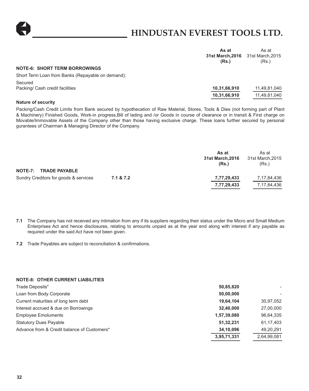|                                                   | As at<br>31st March, 2016<br>(Rs.) | As at<br>31st March.2015<br>(Rs.) |
|---------------------------------------------------|------------------------------------|-----------------------------------|
| <b>NOTE-6: SHORT TERM BORROWINGS</b>              |                                    |                                   |
| Short Term Loan from Banks (Repayable on demand): |                                    |                                   |
| Secured                                           |                                    |                                   |
| Packing/ Cash credit facilities                   | 10,31,66,910                       | 11,49,81,040                      |
|                                                   | 10,31,66,910                       | 11,49,81,040                      |
| <b>Nature of security</b>                         |                                    |                                   |

Packing/Cash Credit Limits from Bank secured by hypothecation of Raw Material, Stores, Tools & Dies (not forming part of Plant & Machinery) Finished Goods, Work-in progress,Bill of lading and /or Goods in course of clearance or in transit & First charge on Movable/Immovable Assets of the Company other than those having exclusive charge. These loans further secured by personal gurantees of Chairman & Managing Director of the Company.

|                                       |           | As at<br>31st March, 2016<br>(Rs.) | As at<br>31st March, 2015<br>(Rs.) |
|---------------------------------------|-----------|------------------------------------|------------------------------------|
| <b>NOTE-7: TRADE PAYABLE</b>          |           |                                    |                                    |
| Sundry Creditors for goods & services | 7.1 & 7.2 | 7,77,29,433                        | 7,17,84,436                        |
|                                       |           | 7,77,29,433                        | 7.17.84.436                        |

- **7.1** The Company has not received any intimation from any if its suppliers regarding their status under the Micro and Small Medium Enterprises Act and hence disclosures, relating to amounts unpaid as at the year end along with interest if any payable as required under the said Act have not been given.
- **7.2** Trade Payables are subject to reconciliation & confirmations.

| <b>NOTE-8: OTHER CURRENT LIABILITIES</b>    |             |                          |
|---------------------------------------------|-------------|--------------------------|
| Trade Deposits*                             | 50,85,820   | $\overline{\phantom{0}}$ |
| Loan from Body Corporate                    | 50,00,000   |                          |
| Current maturities of long term debt        | 19,64,104   | 30,97,052                |
| Interest accrued & due on Borrowings        | 32,40,000   | 27,00,000                |
| <b>Employee Emoluments</b>                  | 1,57,39,080 | 96,64,335                |
| <b>Statutory Dues Payable</b>               | 51,32,231   | 61,17,403                |
| Advance from & Credit balance of Customers* | 34,10,096   | 49,20,291                |
|                                             | 3,95,71,331 | 2,64,99,081              |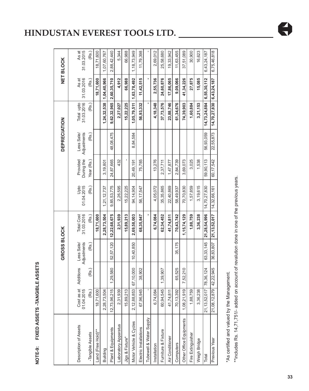# FIXED ASSETS - TANGIBLE ASSETS **NOTE-9: FIXED ASSETS -TANGIBLE ASSETS**NOTE-9:

|                         |                                          |           | GROSS BLOCK               |                          |                    |                        | <b>DEPRECIATION</b>       |                          |                     | <b>NET BLOCK</b>    |
|-------------------------|------------------------------------------|-----------|---------------------------|--------------------------|--------------------|------------------------|---------------------------|--------------------------|---------------------|---------------------|
| Description of Assets   | Cost as at<br>.04.2015<br>$\overline{5}$ | Additions | Adjustments<br>Less Sale/ | 31.03.2016<br>Total Cost | Upto<br>01.04.2015 | During the<br>Provided | Adjustments<br>Less Sale/ | 31.03.2016<br>Total upto | 31.03.2016<br>As at | As at<br>31.03.2015 |
| Tangible Assets         | (Rs.)                                    | (Rs.      | (Rs.                      | (Rs.)                    | (Rs.)              | Year (Rs.              | (Rs.                      | (Rs.                     | (Rs.                | (Rs.)               |
| Land (Free Hold)**      | 18,71,600                                |           |                           | 18,71,600                |                    |                        |                           |                          | 18,71,600           | 18,71,600           |
| Building                | 2,28,73,504                              |           |                           | 2,28,73,504              | 1,21,12,737        | 3,19,801               |                           | 1,24,32,538              | 1,04,40,966         | 1,07,60,767         |
| Plant & Equipments      | 12,73,96,215                             | 1,29,580  | 52,57,120                 | 12,22,68,675             | 9,85,53,775        | 24,87,665              | 48,08,475                 | 9,62,32,965              | 2,60,35,710         | 2,88,42,440         |
| Laboratory Apparatus    | 2,31,939                                 |           |                           | 2,31,939                 | 2,26,595           | 432                    |                           | 2,27,027                 | 4,912               | 5,344               |
| Jigs & Fixture*         | 15,89,213                                |           |                           | 15,89,213                | 15,22,225          |                        |                           | 15,22,225                | 66,988              | 66,988              |
| Motor Vehicle & Cycles  | 2,12,88,853                              | 67,10,000 | 10,40,850                 | 2,69,58,003              | 94,14,904          | 20,49,191              | 8,84,584                  | 1,05,79,511              | 1,63,78,492         | 1,18,73,949         |
| Electric Installations  | 67,96,945                                | 38,902    |                           | 68,35,847                | 56,17,547          | 75,785                 |                           | 56,93,332                | 11,42,515           | 11,79,398           |
| Tubewell & Water Supply |                                          |           |                           |                          |                    |                        |                           |                          |                     |                     |
| Installation            | 6,74,084                                 |           |                           | 6,74,084                 | 4,05,072           | 13,276                 |                           | 4,18,348                 | 2,55,736            | 2,69,012            |
| Furniture & Fixture     | 60,94,545                                | 1,39,907  |                           | 62,34,452                | 35,35,865          | 2,37,711               |                           | 37,73,576                | 24,60,876           | 25,58,680           |
| Air Conditioner         | 41,74,811                                |           |                           | 41,74,811                | 22,40,869          | 1,47,877               |                           | 23,88,746                | 17,86,065           | 19,33,942           |
| Computers               | 70,13,392                                | 65,525    | 35,175                    | 70,43,742                | 58,49,937          | 2,84,739               |                           | 61,34,676                | 9,09,066            | 11,63,455           |
| Other Office Equipments | 1,08,21,919                              | 7,52,210  |                           | 1, 15, 74, 129           | 70,70,830          | 3,69,073               |                           | 74,39,903                | 41,34,226           | 37,51,089           |
| Fire Extinguisher       | 1,88,759                                 |           |                           | 1,88,759                 | 1,57,859           | 3,025                  |                           | 1,60,884                 | 27,875              | 30,900              |
| Weigh Bridge            | 3,36,238                                 |           |                           | 3,36,238                 | 3,19,615           | 1,538                  |                           | 3,21,153                 | 15,085              | 16,623              |
| Total                   | 21, 13, 52, 017                          | 78,36,124 | 63,33,145                 | 21,28,54,996             | 14,70,27,830       | 59,90,113              | 56,93,059                 | 14,73,24,884             | 6,55,30,112         | 6,43,24,187         |
| Previous Year           | 21,08,12,879                             | 42,22,945 | 36,83,807                 | 21, 13, 52, 017          | 14,32,66,161       | 60,17,542              | 22,55,873                 | 14,70,27,830 6,43,24,187 |                     | 6,75,46,818         |

\*As certified and valued by the Management. \*As certified and valued by the Management. \*\*includes Rs. 14,71,751/- added on account of revalution done in one of the previous years. \*\*includes Rs. 14,71,751/- added on account of revalution done in one of the previous years.

# **HINDUSTAN EVEREST TOOLS LTD.**

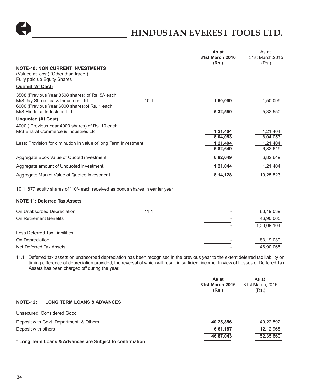

|                                                                                                                                                                         |      | As at<br>31st March, 2016<br>(Rs.) | As at<br>31st March, 2015<br>(Rs.) |
|-------------------------------------------------------------------------------------------------------------------------------------------------------------------------|------|------------------------------------|------------------------------------|
| <b>NOTE-10: NON CURRENT INVESTMENTS</b><br>(Valued at cost) (Other than trade.)<br>Fully paid up Equity Shares                                                          |      |                                    |                                    |
| <b>Quoted (At Cost)</b>                                                                                                                                                 |      |                                    |                                    |
| 3508 (Previous Year 3508 shares) of Rs. 5/- each<br>M/S Jay Shree Tea & Industries Ltd<br>6000 (Previous Year 6000 shares) of Rs. 1 each<br>M/S Hindalco Industries Ltd | 10.1 | 1,50,099<br>5,32,550               | 1,50,099<br>5,32,550               |
| <b>Unquoted (At Cost)</b>                                                                                                                                               |      |                                    |                                    |
| 4000 (Previous Year 4000 shares) of Rs. 10 each<br>M/S Bharat Commerce & Industries Ltd                                                                                 |      | 1,21,404<br>8,04,053               | 1,21,404<br>8,04,053               |
| Less: Provision for diminution In value of long Term Investment                                                                                                         |      | 1,21,404<br>6,82,649               | 1,21,404<br>6,82,649               |
| Aggregate Book Value of Quoted investment                                                                                                                               |      | 6,82,649                           | 6,82,649                           |
| Aggregate amount of Unquoted investment                                                                                                                                 |      | 1,21,044                           | 1,21,404                           |
| Aggregate Market Value of Quoted investment                                                                                                                             |      | 8,14,128                           | 10,25,523                          |
| 10.1 877 equity shares of '10/- each received as bonus shares in earlier year                                                                                           |      |                                    |                                    |
| <b>NOTE 11: Deferred Tax Assets</b>                                                                                                                                     |      |                                    |                                    |
| On Unabsorbed Depreciation                                                                                                                                              | 11.1 |                                    | 83,19,039                          |
| On Retirement Benefits                                                                                                                                                  |      |                                    | 46,90,065                          |
|                                                                                                                                                                         |      |                                    | 1,30,09,104                        |
| Less Deferred Tax Liabilities                                                                                                                                           |      |                                    |                                    |
| On Depreciation<br>Net Deferred Tax Assets                                                                                                                              |      |                                    | 83,19,039<br>46,90,065             |
| At A Deferred toy coacte as unobservated depresiation has been researched in the provisue very to the outport deferred toy lighility o                                  |      |                                    |                                    |

11.1 Deferred tax assets on unabsorbed depreciation has been recognised in the previous year to the extent deferred tax liability on timing difference of depreciation provided, the reversal of which will result in sufficient income. In view of Losses of Deffered Tax Assets has been charged off during the year.

|                                                          | As at<br>31st March, 2016<br>(Rs.) | As at<br>31st March, 2015<br>(Rs.) |
|----------------------------------------------------------|------------------------------------|------------------------------------|
| <b>LONG TERM LOANS &amp; ADVANCES</b><br><b>NOTE-12:</b> |                                    |                                    |
| Unsecured, Considered Good                               |                                    |                                    |
| Deposit with Govt. Department & Others.                  | 40,25,856                          | 40,22,892                          |
| Deposit with others                                      | 6,61,187                           | 12,12,968                          |
|                                                          | 46,87,043                          | 52,35,860                          |
| * Long Term Loans & Advances are Subject to confirmation |                                    |                                    |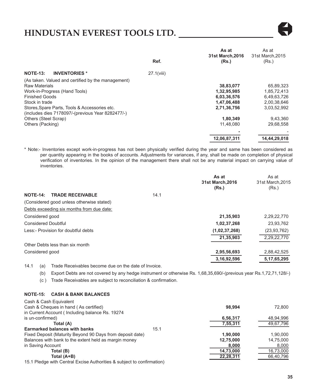

|                                                    |            | As at<br>31st March, 2016 | As at<br>31st March, 2015 |
|----------------------------------------------------|------------|---------------------------|---------------------------|
|                                                    | Ref.       | (Rs.)                     | (Rs.)                     |
| <b>NOTE-13:</b><br><b>INVENTORIES*</b>             | 27.1(viii) |                           |                           |
| (As taken. Valued and certified by the management) |            |                           |                           |
| <b>Raw Materials</b>                               |            | 38,83,077                 | 65,89,323                 |
| Work-in-Progress (Hand Tools)                      |            | 1,32,95,985               | 1,85,72,413               |
| <b>Finished Goods</b>                              |            | 6,03,36,576               | 6,49,63,726               |
| Stock in trade                                     |            | 1,47,06,488               | 2,00,38,646               |
| Stores, Spare Parts, Tools & Accessories etc.      |            | 2,71,36,756               | 3,03,52,992               |
| (includes dies 7178097/-(previous Year 8282477/-)  |            |                           |                           |
| Others (Steel Scrap)                               |            | 1,80,349                  | 9,43,360                  |
| Others (Packing)                                   |            | 11,48,080                 | 29,68,558                 |
|                                                    |            |                           |                           |
|                                                    |            | 12,06,87,311              | 14,44,29,018              |

\* Note:- Inventories except work-in-progress has not been physically verified during the year and same has been considered as per quantity appearing in the books of accounts. Adjustments for variances, if any, shall be made on completion of physical verification of inventories. In the opinion of the management there shall not be any material impact on carrying value of inventories.

|                                           |      | As at<br>31st March, 2016<br>(Rs.) | As at<br>31st March, 2015<br>(Rs.) |
|-------------------------------------------|------|------------------------------------|------------------------------------|
| <b>TRADE RECEIVABLE</b><br>$NOTE-14:$     | 14.1 |                                    |                                    |
| (Considered good unless otherwise stated) |      |                                    |                                    |
| Debts exceeding six months from due date: |      |                                    |                                    |
| Considered good                           |      | 21,35,903                          | 2,29,22,770                        |
| <b>Considered Doubtful</b>                |      | 1,02,37,268                        | 23,93,762                          |
| Less:- Provision for doubtful debts       |      | (1,02,37,268)                      | (23, 93, 762)                      |
|                                           |      | 21,35,903                          | 2,29,22,770                        |
| Other Debts less than six month           |      |                                    |                                    |
| Considered good                           |      | 2,95,56,693                        | 2,88,42,525                        |
|                                           |      | 3, 16, 92, 596                     | 5, 17, 65, 295                     |

14.1 (a) Trade Receivables become due on the date of Invoice.

(b) Export Debts are not covered by any hedge instrument or otherwise Rs. 1,68,35,690/-(previous year Rs.1,72,71,128/-)

(c ) Trade Receivables are subject to reconciliation & confirmation.

# **NOTE-15: CASH & BANK BALANCES**

| Cash & Cash Equivalent                                                 |      |           |           |
|------------------------------------------------------------------------|------|-----------|-----------|
| Cash & Cheques in hand (As certified)                                  |      | 98.994    | 72,800    |
| in Current Account (Including balance Rs. 19274)                       |      |           |           |
| is un-confirmed)                                                       |      | 6,56,317  | 48,94,996 |
| Total (A)                                                              |      | 7,55,311  | 49.67.796 |
| <b>Earmarked balances with banks</b>                                   | 15.1 |           |           |
| Fixed Deposit (Maturity Beyond 90 Days from deposit date)              |      | 1,90,000  | 1,90,000  |
| Balances with bank to the extent held as margin money                  |      | 12,75,000 | 14,75,000 |
| in Saving Account                                                      |      | 8,000     | 8,000     |
| Total (B)                                                              |      | 14,73,000 | 16,73,000 |
| Total (A+B)                                                            |      | 22,28,311 | 66.40.796 |
| 15.1 Pledge with Central Excise Authorities & subject to confirmation) |      |           |           |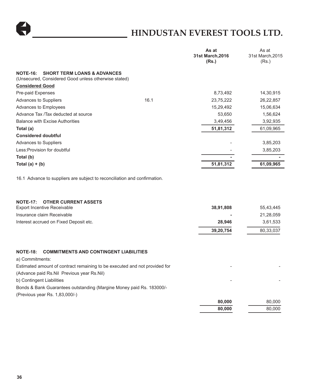$\bigoplus$ 

# **HINDUSTAN EVEREST TOOLS LTD.**

|                                                                                                                    |      | As at<br>31st March, 2016<br>(Rs.) | As at<br>31st March, 2015<br>(Rs.) |
|--------------------------------------------------------------------------------------------------------------------|------|------------------------------------|------------------------------------|
| <b>NOTE-16:</b><br><b>SHORT TERM LOANS &amp; ADVANCES</b><br>(Unsecured, Considered Good unless otherwise stated)  |      |                                    |                                    |
| <b>Considered Good</b>                                                                                             |      |                                    |                                    |
| Pre-paid Expenses                                                                                                  |      | 8,73,492                           | 14,30,915                          |
| Advances to Suppliers                                                                                              | 16.1 | 23,75,222                          | 26,22,857                          |
| Advances to Employees                                                                                              |      | 15,29,492                          | 15,06,634                          |
| Advance Tax /Tax deducted at source                                                                                |      | 53,650                             | 1,56,624                           |
| <b>Balance with Excise Authorities</b>                                                                             |      | 3,49,456                           | 3,92,935                           |
| Total (a)                                                                                                          |      | 51,81,312                          | 61,09,965                          |
| <b>Considered doubtful</b>                                                                                         |      |                                    |                                    |
| <b>Advances to Suppliers</b>                                                                                       |      |                                    | 3,85,203                           |
| Less: Provision for doubtful                                                                                       |      |                                    | 3,85,203                           |
| Total (b)                                                                                                          |      |                                    |                                    |
| Total $(a) + (b)$                                                                                                  |      | 51,81,312                          | 61,09,965                          |
| <b>NOTE-17:</b><br><b>OTHER CURRENT ASSETS</b><br><b>Export Incentive Receivable</b><br>Insurance claim Receivable |      | 38,91,808                          | 55,43,445<br>21,28,059             |
| Interest accrued on Fixed Deposit etc.                                                                             |      | 28,946                             | 3,61,533                           |
|                                                                                                                    |      | 39,20,754                          | 80,33,037                          |
|                                                                                                                    |      |                                    |                                    |
| <b>NOTE-18:</b><br><b>COMMITMENTS AND CONTINGENT LIABILITIES</b><br>a) Commitments:                                |      |                                    |                                    |
| Estimated amount of contract remaining to be executed and not provided for                                         |      |                                    |                                    |
| (Advance paid Rs.Nil Previous year Rs.Nil)                                                                         |      |                                    |                                    |
| b) Contingent Liabilities                                                                                          |      |                                    |                                    |
| Bonds & Bank Guarantees outstanding (Margine Money paid Rs. 183000/-<br>(Previous year Rs. 1,83,000/-)             |      |                                    |                                    |
|                                                                                                                    |      | 80,000                             | 80,000                             |
|                                                                                                                    |      | 80,000                             | 80,000                             |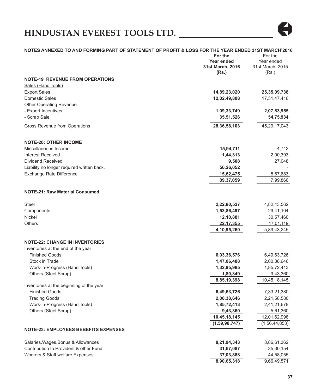

# **NOTES ANNEXED TO AND FORMING PART OF STATEMENT OF PROFIT & LOSS FOR THE YEAR ENDED 31ST MARCH'2016**

|                                                             | For the          | For the                  |
|-------------------------------------------------------------|------------------|--------------------------|
|                                                             | Year ended       | Year ended               |
|                                                             | 31st March, 2016 | 31st March, 2015         |
|                                                             | (Rs.)            | (Rs.)                    |
| <b>NOTE-19 REVENUE FROM OPERATIONS</b>                      |                  |                          |
| Sales (Hand Tools)                                          |                  |                          |
| <b>Export Sales</b>                                         | 14,89,23,020     | 25, 35, 09, 738          |
| Domestic Sales                                              | 12,02,49,808     | 17,31,47,416             |
| <b>Other Operating Revenue</b>                              |                  |                          |
| - Export Incentives                                         | 1,09,33,749      | 2,07,83,955              |
| - Scrap Sale                                                | 35,51,526        | 54,75,934                |
| Gross Revenue from Operations                               | 28,36,58,103     | 45,29,17,043             |
|                                                             |                  |                          |
| <b>NOTE-20: OTHER INCOME</b>                                |                  |                          |
| Miscellaneous Income                                        | 15,94,711        | 4,742                    |
| Interest Received                                           | 1,44,313         | 2,00,393                 |
| Dividend Received                                           | 9,508            | 27,048                   |
| Liability no longer required written back.                  | 56,26,052        |                          |
| Exchange Rate Difference                                    | 15,62,475        | 5,67,683                 |
|                                                             | 89,37,059        | 7,99,866                 |
| <b>NOTE-21: Raw Material Consumed</b>                       |                  |                          |
| Steel                                                       | 2,22,80,527      | 4,82,43,562              |
| Components                                                  | 1,53,86,497      | 29,41,104                |
| Nickel                                                      | 12,10,881        | 30,57,460                |
| <b>Others</b>                                               | 22,17,355        | 47,01,119                |
|                                                             | 4,10,95,260      | 5,89,43,245              |
| <b>NOTE-22: CHANGE IN INVENTORIES</b>                       |                  |                          |
|                                                             |                  |                          |
| Inventories at the end of the year<br><b>Finished Goods</b> |                  |                          |
| Stock in Trade                                              | 6,03,36,576      | 6,49,63,726              |
|                                                             | 1,47,06,488      | 2,00,38,646              |
| Work-in-Progress (Hand Tools)                               | 1,32,95,985      | 1,85,72,413              |
| Others (Steel Scrap)                                        | 1,80,349         | 9,43,360<br>10,45,18,145 |
| Inventories at the beginning of the year                    | 8,85,19,398      |                          |
| <b>Finished Goods</b>                                       | 6,49,63,726      | 7,33,21,380              |
| <b>Trading Goods</b>                                        | 2,00,38,646      | 2,21,58,580              |
| Work-in-Progress (Hand Tools)                               | 1,85,72,413      | 2,41,21,678              |
| Others (Steel Scrap)                                        | 9,43,360         | 5,61,360                 |
|                                                             | 10,45,18,145     | 12,01,62,998             |
|                                                             | (1,59,98,747)    | (1, 56, 44, 853)         |
| NOTE-23: EMPLOYEES BEBEFITS EXPENSES                        |                  |                          |
|                                                             |                  |                          |
| Salaries, Wages, Bonus & Allowances                         | 8,21,94,343      | 8,86,61,362              |
| Contribution to Provident & other Fund                      | 31,67,087        | 35,30,154                |
| Workers & Staff welfare Expenses                            | 37,03,888        | 44,58,055                |
|                                                             | 8,90,65,318      | 9,66,49,571              |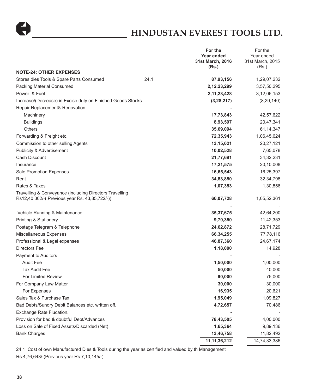

|                                                             |      | For the<br>Year ended | For the<br>Year ended |
|-------------------------------------------------------------|------|-----------------------|-----------------------|
|                                                             |      | 31st March, 2016      | 31st March, 2015      |
| <b>NOTE-24: OTHER EXPENSES</b>                              |      | (Rs.)                 | (Rs.)                 |
| Stores dies Tools & Spare Parts Consumed                    | 24.1 | 87,93,156             | 1,29,07,232           |
| Packing Material Consumed                                   |      | 2, 12, 23, 299        | 3,57,50,295           |
| Power & Fuel                                                |      | 2, 11, 23, 428        | 3, 12, 06, 153        |
| Increase/(Decrease) in Excise duty on Finished Goods Stocks |      | (3, 28, 217)          | (8, 29, 140)          |
| Repair Replacement& Renovation                              |      |                       |                       |
| Machinery                                                   |      | 17,73,843             | 42,57,622             |
| <b>Buildings</b>                                            |      | 8,93,597              | 20,47,341             |
| Others                                                      |      | 35,69,094             | 61, 14, 347           |
| Forwarding & Freight etc.                                   |      | 72,35,943             | 1,06,45,624           |
| Commission to other selling Agents                          |      | 13,15,021             | 20,27,121             |
| <b>Publicity &amp; Advertisement</b>                        |      | 10,02,528             | 7,65,078              |
| Cash Discount                                               |      | 21,77,691             | 34, 32, 231           |
| Insurance                                                   |      | 17,21,575             | 20,10,008             |
| Sale Promotion Expenses                                     |      | 16,65,543             | 16,25,397             |
| Rent                                                        |      | 34,83,850             | 32,34,798             |
| Rates & Taxes                                               |      | 1,07,353              | 1,30,856              |
| Travelling & Conveyance (including Directors Travelling     |      |                       |                       |
| Rs12,40,302/-(Previous year Rs. 43,85,722/-))               |      | 66,07,728             | 1,05,52,361           |
| Vehicle Running & Maintenance                               |      | 35, 37, 675           | 42,64,200             |
| Printing & Stationery                                       |      | 9,70,350              | 11,42,353             |
| Postage Telegram & Telephone                                |      | 24,62,872             | 28,71,729             |
| Miscellaneous Expenses                                      |      | 66,34,255             | 77,78,116             |
| Professional & Legal expenses                               |      | 46,87,360             | 24,67,174             |
| Directors Fee                                               |      | 1,18,000              | 14,928                |
| <b>Payment to Auditors</b>                                  |      |                       |                       |
| <b>Audit Fee</b>                                            |      | 1,50,000              | 1,00,000              |
| <b>Tax Audit Fee</b>                                        |      | 50,000                | 40,000                |
| For Limited Review.                                         |      | 90,000                | 75,000                |
| For Company Law Matter                                      |      | 30,000                | 30,000                |
| For Expenses                                                |      | 16,935                | 20,621                |
| Sales Tax & Purchase Tax                                    |      | 1,95,049              | 1,09,827              |
| Bad Debts/Sundry Debit Balances etc. written off.           |      | 4,72,657              | 70,486                |
| Exchange Rate Flucation.                                    |      |                       |                       |
| Provision for bad & doubtful Debt/Advances                  |      | 78,43,505             | 4,00,000              |
| Loss on Sale of Fixed Assets/Discarded (Net)                |      | 1,65,364              | 9,89,136              |
| <b>Bank Charges</b>                                         |      | 13,46,758             | 11,82,492             |
|                                                             |      | 11, 11, 36, 212       | 14,74,33,386          |

24.1 Cost of own Manufactured Dies & Tools during the year as certified and valued by th Management

Rs.4,76,643/-(Previous year Rs.7,10,145/-)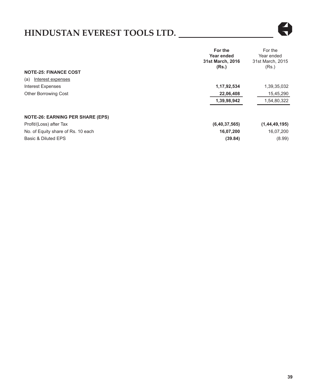

|                                         | For the<br>Year ended | For the<br>Year ended |
|-----------------------------------------|-----------------------|-----------------------|
|                                         | 31st March, 2016      | 31st March, 2015      |
|                                         | (Rs.)                 | (Rs.)                 |
| <b>NOTE-25: FINANCE COST</b>            |                       |                       |
| Interest expenses<br>(a)                |                       |                       |
| Interest Expenses                       | 1,17,92,534           | 1,39,35,032           |
| <b>Other Borrowing Cost</b>             | 22,06,408             | 15,45,290             |
|                                         | 1,39,98,942           | 1,54,80,322           |
|                                         |                       |                       |
| <b>NOTE-26: EARNING PER SHARE (EPS)</b> |                       |                       |
| Profit/(Loss) after Tax                 | (6, 40, 37, 565)      | (1,44,49,195)         |
| No. of Equity share of Rs. 10 each      | 16,07,200             | 16,07,200             |
| <b>Basic &amp; Diluted EPS</b>          | (39.84)               | (8.99)                |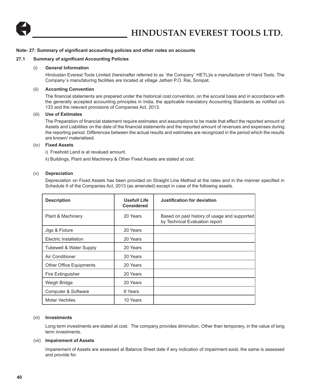

### **Note- 27: Summary of significant accounting policies and other notes on accounts**

## **27.1 Summary of significant Accounting Policies**

#### (i) **General Information**

Hindustan Everest Tools Limited (hereinafter referred to as `the Company` HETL)is a manufacturer of Hand Tools. The Company`s manufaturing facilities are located at village Jatheri P.O. Rai, Sonipat.

#### (ii) **Acconting Convention**

The financial statements are prepared under the historical cost convention, on the accural basis and in accordance with the generally accepted accounting principles in India, the applicable mandatory Accounting Standards as notified u/s 133 and the relevant provisions of Companies Act, 2013.

#### (iii) **Use of Estimates**

The Preparation of financial statement require estimates and assumptions to be made that effect the reported amount of Assets and Liabilities on the date of the financial statements and the reported amount of revenues and expenses during the reporting period. Differences between the actual results and estimates are recognized in the period which the results are known/ materialised.

# (iv) **Fixed Assets**

i) Freehold Land is at revalued amount.

ii) Buildings, Plant and Machinery & Other Fixed Assets are stated at cost.

#### (v) **Depreciation**

Depreciation on Fixed Assets has been provided on Straight Line Method at the rates and in the manner specified in Schedule II of the Companies Act, 2013 (as amended) except in case of the following assets.

| <b>Description</b>                 | Usefull Life<br><b>Considered</b> | Justification for deviation                                                    |
|------------------------------------|-----------------------------------|--------------------------------------------------------------------------------|
| Plant & Machinery                  | 20 Years                          | Based on past history of usage and supported<br>by Technical Evaluation report |
| Jigs & Fixture                     | 20 Years                          |                                                                                |
| Electric Installation              | 20 Years                          |                                                                                |
| <b>Tubewell &amp; Water Supply</b> | 20 Years                          |                                                                                |
| Air Conditioner                    | 20 Years                          |                                                                                |
| <b>Other Office Equipments</b>     | 20 Years                          |                                                                                |
| Fire Extinguisher                  | 20 Years                          |                                                                                |
| Weigh Bridge                       | 20 Years                          |                                                                                |
| Computer & Software                | 6 Years                           |                                                                                |
| Motar Vechiles                     | 10 Years                          |                                                                                |

#### (vi) **Investments**

Long term investments are stated at cost. The company provides diminution, Other than temporary, in the value of long term investments.

## (vii) **Impairement of Assets**

Impairement of Assets are assessed at Balance Sheet date if any indication of impairment exist, the same is assessed and provide for.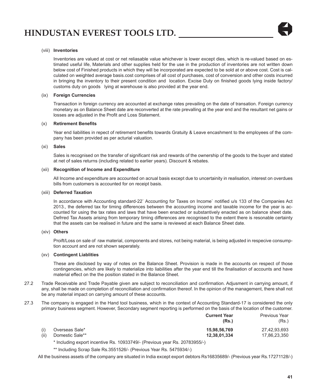

## (viii) **Inventories**

Inventories are valued at cost or net reliasable value whichever is lower except dies, which is re-valued based on estimated useful life, Materials and other supplies held for the use in the production of inventories are not written down below cost of Finished products in which they will be incorporated are expected to be sold at or above cost. Cost is calculated on weighted average basis.cost comprises of all cost of purchases, cost of conversion and other costs incurred in bringing the inventory to their present condition and location. Excise Duty on finished goods lying inside factory/ customs duty on goods lying at warehouse is also provided at the year end.

#### (ix) **Foreign Currencies**

Transaction in foreign currency are accounted at exchange rates prevailing on the date of transation. Foreign currency monetary as on Balance Sheet date are reconverted at the rate prevalling at the year end and the resultant net gains or losses are adjusted in the Profit and Loss Statement.

## (x) **Retirement Benefits**

Year end liabilities in repect of retirement benefits towards Gratuity & Leave encashment to the employees of the company has been provided as per acturial valuation.

#### (xi) **Sales**

Sales is recognised on the transfer of significant risk and rewards of the ownership of the goods to the buyer and stated at net of sales returns (including related to earlier years). Discount & rebates.

## (xii) **Recognition of Income and Expenditure**

All Income and expenditure are accounted on acrual basis except due to uncertainity in realisation, interest on overdues bills from customers is accounted for on receipt basis.

#### (xiii) **Deferred Taxation**

In accordance with Accounting standard-22` Accounting for Taxes on Income` notified u/s 133 of the Companies Act 2013., the deferred tax for timing differences between the accounting income and taxable income for the year is accounted for using the tax rates and laws that have been enacted or substantively enacted as on balance sheet date. Defrred Tax Assets arising from temporary timing differences are recognised to the extent there is resonable certainty that the assets can be realised in future and the same is reviewed at each Balance Sheet date.

#### (xiv) **Others**

Proift/Loss on sale of raw material, components and stores, not being material, is being adjusted in respecive consumption account and are not shown seperately.

## (xv) **Contingent Liablities**

These are disclosed by way of notes on the Balance Sheet. Provision is made in the accounts on respect of those contingencies, which are likely to materialize into liabilities after the year end till the finalisation of accounts and have material effect on the the position stated in the Balance Sheet.

- 27.2 Trade Receivable and Trade Payable given are subject to reconciliation and confirmation. Adjusment in carrying amount, if any, shall be made on completion of reconciliation and confirmation thereof. In the opinion of the management, there shall not be any material impact on carrying amount of these accounts.
- 27.3 The company is engaged in the Hand tool business, which in the context of Accounting Standard-17 is considered the only primary business segment. However, Secondary segment reporting is performed on the basis of the location of the customer.

|      |                 | <b>Current Year</b> | <b>Previous Year</b> |
|------|-----------------|---------------------|----------------------|
|      |                 | (Rs.)               | (Rs.)                |
|      | Overseas Sale*  | 15,98,56,769        | 27,42,93,693         |
| (ii) | Domestic Sale** | 12,38,01,334        | 17,86,23,350         |
|      |                 |                     |                      |

\* Including export incentive Rs. 10933749/- (Previous year Rs. 20783955/-)

\*\* Including Scrap Sale Rs.3551526/- (Previous Year Rs. 5475934/-)

All the business assets of the company are situated in India except export debtors Rs16835689/- (Previous year Rs.17271128/-)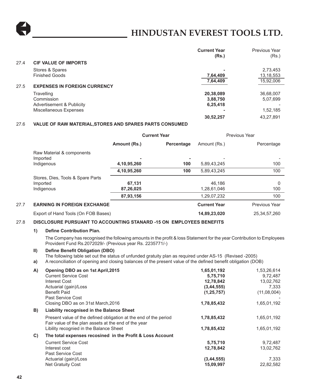

|      |                                     | <b>Current Year</b><br>(Rs.) | Previous Year<br>(Rs.) |
|------|-------------------------------------|------------------------------|------------------------|
| 27.4 | <b>CIF VALUE OF IMPORTS</b>         |                              |                        |
|      | Stores & Spares                     |                              | 2,73,453               |
|      | <b>Finished Goods</b>               | 7,64,409                     | 13, 18, 553            |
|      |                                     | 7,64,409                     | 15,92,006              |
| 27.5 | <b>EXPENSES IN FOREIGN CURRENCY</b> |                              |                        |
|      | Travelling                          | 20,38,089                    | 36,68,007              |
|      | Commission                          | 3,88,750                     | 5,07,699               |
|      | Advertisement & Publicity           | 6,25,418                     |                        |
|      | Miscellaneous Expenses              |                              | 1,52,185               |
|      |                                     | 30,52,257                    | 43,27,891              |

# 27.6 **VALUE OF RAW MATERIAL,STORES AND SPARES PARTS CONSUMED**

|      |                                     | <b>Current Year</b> |            | Previous Year       |                 |
|------|-------------------------------------|---------------------|------------|---------------------|-----------------|
|      |                                     | Amount (Rs.)        | Percentage | Amount (Rs.)        | Percentage      |
|      | Raw Material & components           |                     |            |                     |                 |
|      | Imported                            |                     | ٠          |                     |                 |
|      | Indigenous                          | 4,10,95,260         | 100        | 5,89,43,245         | 100             |
|      |                                     | 4,10,95,260         | 100        | 5,89,43,245         | 100             |
|      | Stores, Dies, Tools & Spare Parts   |                     |            |                     |                 |
|      | Imported                            | 67,131              |            | 46,186              | $\Omega$        |
|      | Indigenous                          | 87,26,025           |            | 1,28,61,046         | 100             |
|      |                                     | 87,93,156           |            | 1,29,07,232         | 100             |
| 27.7 | <b>EARNING IN FOREIGN EXCHANGE</b>  |                     |            | <b>Current Year</b> | Previous Year   |
|      | Export of Hand Tools (On FOB Bases) |                     |            | 14,89,23,020        | 25, 34, 57, 260 |
|      |                                     |                     |            |                     |                 |

# 27.8 **DISCLOSURE PURSUANT TO ACCOUNTING STANARD -15 ON EMPLOYEES BENEFITS**

## **1) Define Contribution Plan.**

The Company has recognised the following amounts in the profit & loss Statement for the year Contribution to Employees Provident Fund Rs.2072029/- (Previous year Rs. 2235771/-)

# **II) Define Benefit Obligation (DBO)**

The following table set out the status of unfunded gratuity plan as required under AS-15 (Revised -2005)

**a)** A reconciliation of opening and closing balances of the present value of the defined benefit obligation (DOB)

| A) | Opening DBO as on 1st April, 2015<br><b>Current Service Cost</b>                                                         | 1,65,01,192<br>5,75,710 | 1,53,26,614<br>9,72,487 |
|----|--------------------------------------------------------------------------------------------------------------------------|-------------------------|-------------------------|
|    | Interest Cost                                                                                                            | 12,78,842               | 13,02,762               |
|    | Actuarial (gain)/Loss                                                                                                    | (3, 44, 555)            | 7,333                   |
|    | Benefit Paid                                                                                                             | (1, 25, 757)            | (11,08,004)             |
|    | Past Service Cost                                                                                                        |                         |                         |
|    | Closing DBO as on 31st March, 2016                                                                                       | 1,78,85,432             | 1,65,01,192             |
| B) | Liability recognised in the Balance Sheet                                                                                |                         |                         |
|    | Present value of the defined obligation at the end of the period<br>Fair value of the plan assets at the end of the year | 1,78,85,432             | 1,65,01,192             |
|    | Libility recognied in the Balance Sheet                                                                                  | 1,78,85,432             | 1,65,01,192             |
| C) | The total expenses recosined in the Profit & Loss Account                                                                |                         |                         |
|    | <b>Current Service Cost</b>                                                                                              | 5,75,710                | 9,72,487                |
|    | Interest cost                                                                                                            | 12,78,842               | 13,02,762               |
|    | Past Service Cost                                                                                                        |                         |                         |
|    | Actuarial (gain)/Loss                                                                                                    | (3, 44, 555)            | 7,333                   |
|    | <b>Net Gratuity Cost</b>                                                                                                 | 15,09,997               | 22,82,582               |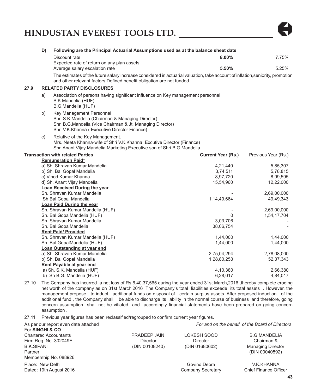

|       | D)                                       | Following are the Principal Actuarial Assumptions used as at the balance sheet date                                                                                                                      |                           |                     |  |  |
|-------|------------------------------------------|----------------------------------------------------------------------------------------------------------------------------------------------------------------------------------------------------------|---------------------------|---------------------|--|--|
|       |                                          | Discount rate                                                                                                                                                                                            | $8.00\%$                  | 7.75%               |  |  |
|       |                                          | Expected rate of return on any plan assets                                                                                                                                                               |                           |                     |  |  |
|       |                                          | Average salary escalation rate                                                                                                                                                                           | 5.50%                     | 5.25%               |  |  |
|       |                                          | The estimates of the future salary increase considered in actuarial valuation, take account of inflation, seniority, promotion<br>and other relevant factors. Defined benefit obligation are not funded. |                           |                     |  |  |
| 27.9  |                                          | <b>RELATED PARTY DISCLOSURES</b>                                                                                                                                                                         |                           |                     |  |  |
|       | a)                                       | Association of persons having significant influence on Key management personnel<br>S.K.Mandelia (HUF)<br>B.G.Mandelia (HUF)                                                                              |                           |                     |  |  |
|       | b)                                       | Key Management Personnel<br>Shri S.K.Mandelia (Chairman & Managing Director)<br>Shri B.G.Mandelia (Vice Chairman & Jt. Managing Director)<br>Shri V.K.Khanna (Executive Director Finance)                |                           |                     |  |  |
|       | C)                                       | Relative of the Key Management.<br>Mrs. Neeta Khanna-wife of Shri V.K.Khanna Excutive Director (Finance)<br>Shri Anant Vijay Mandelia Marketing Executive son of Shri B.G.Mandelia.                      |                           |                     |  |  |
|       |                                          | <b>Transaction with related Parties</b>                                                                                                                                                                  | <b>Current Year (Rs.)</b> | Previous Year (Rs.) |  |  |
|       |                                          | <b>Remuneration Paid*</b>                                                                                                                                                                                |                           |                     |  |  |
|       |                                          | a) Sh. Shravan Kumar Mandelia                                                                                                                                                                            | 4,21,440                  | 5,85,307            |  |  |
|       |                                          | b) Sh. Bal Gopal Mandelia                                                                                                                                                                                | 3,74,511                  | 5,78,815            |  |  |
|       | c) Vinod Kumar Khanna                    |                                                                                                                                                                                                          | 8,97,720                  | 8,99,595            |  |  |
|       | d) Sh. Anant Vijay Mandelia              |                                                                                                                                                                                                          | 15,54,960                 | 12,22,000           |  |  |
|       | <b>Loan Received During the year</b>     |                                                                                                                                                                                                          |                           |                     |  |  |
|       |                                          | Sh. Shravan Kumar Mandelia                                                                                                                                                                               |                           | 2,69,00,000         |  |  |
|       |                                          | Sh Bal Gopal Mandelia                                                                                                                                                                                    | 1,14,49,664               | 49,49,343           |  |  |
|       | <b>Loan Paid During the year</b>         |                                                                                                                                                                                                          |                           |                     |  |  |
|       |                                          | Sh. Shravan Kumar Mandelia (HUF)                                                                                                                                                                         |                           | 2,69,00,000         |  |  |
|       |                                          | Sh. Bal GopalMandelia (HUF)                                                                                                                                                                              | $\Omega$                  | 1,54,17,704         |  |  |
|       | Sh. Shravan Kumar Mandelia               |                                                                                                                                                                                                          | 3,03,706                  |                     |  |  |
|       | 38,06,754<br>Sh. Bal GopalMandelia       |                                                                                                                                                                                                          |                           |                     |  |  |
|       | <b>Rent Paid/ Provided</b>               |                                                                                                                                                                                                          |                           |                     |  |  |
|       | Sh. Shravan Kumar Mandelia (HUF)         |                                                                                                                                                                                                          | 1,44,000                  | 1,44,000            |  |  |
|       | Sh. Bal GopalMandelia (HUF)              |                                                                                                                                                                                                          | 1,44,000                  | 1,44,000            |  |  |
|       | <b>Loan Outstanding at year end</b>      |                                                                                                                                                                                                          |                           |                     |  |  |
|       | a) Sh. Shravan Kumar Mandelia            |                                                                                                                                                                                                          | 2,75,04,294               | 2,78,08,000         |  |  |
|       | b) Sh. Bal Gopal Mandelia<br>1,28,80,253 |                                                                                                                                                                                                          |                           | 52, 37, 343         |  |  |
|       | <b>Rent Payable at year end</b>          |                                                                                                                                                                                                          |                           |                     |  |  |
|       |                                          | a) Sh. S.K. Mandelia (HUF)                                                                                                                                                                               | 4,10,380                  | 2,66,380            |  |  |
|       |                                          | b) Sh B.G. Mandelia (HUF)                                                                                                                                                                                | 6,28,017                  | 4,84,017            |  |  |
| 27.10 |                                          | The Company has incurred a net loss of Rs 6,40,37,565 during the year ended 31st March,2016, thereby complete eroding                                                                                    |                           |                     |  |  |

net worth of the company as on 31st March,2016 .The Company's total liabilities exceede its total assets . However, the management propose to induct additional funds on disposal of certain surplus assets. After proposed induction of the additional fund , the Company shall be able to discharge its liability in the normal course of business and therefore, going concern assumption shall not be vitiated and accordingly financial statements have been prepared on going concern assumption .

27.11 Previous year figures has been reclassified/regrouped to confirm current year figures.

| As per our report even date attached |                |                | For and on the behalf of the Board of Directors |
|--------------------------------------|----------------|----------------|-------------------------------------------------|
| For SINGHI & CO.                     |                |                |                                                 |
| <b>Chartered Accountants</b>         | PRADEEP JAIN   | LOKESH SOOD    | <b>B.G MANDELIA</b>                             |
| Firm Reg. No. 302049E                | Director       | Director       | Chairman &                                      |
| <b>B.K.SIPANI</b>                    | (DIN 00108240) | (DIN 01680602) | <b>Managing Director</b>                        |
| Partner                              |                |                | (DIN 00040592)                                  |
| Membership No. 088926                |                |                |                                                 |
| Place: New Delhi                     |                | Govind Deora   | V.K.KHANNA                                      |

Dated: 19th August 2016 Company Secretary Chief Finance Officer